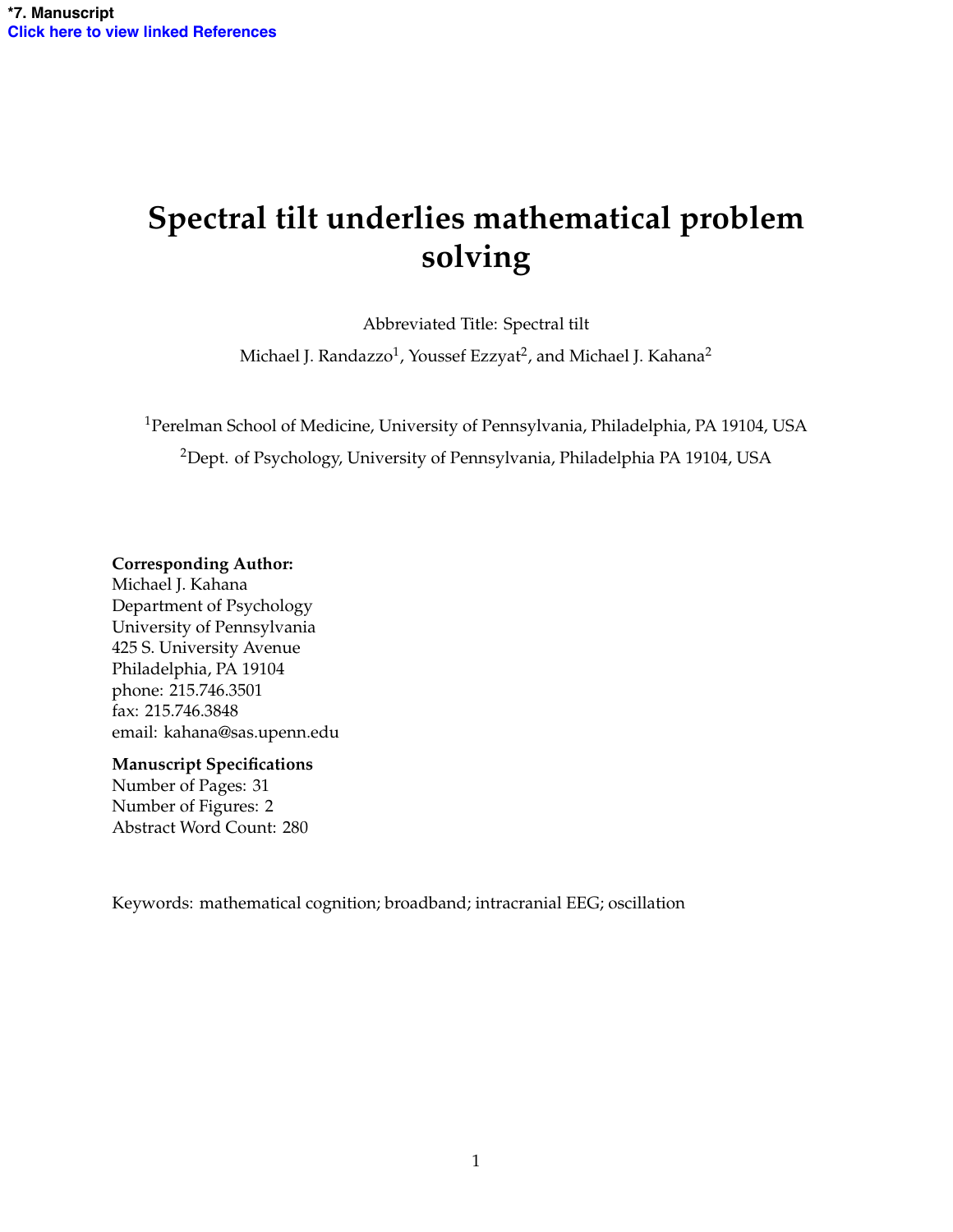# **Spectral tilt underlies mathematical problem solving**

Abbreviated Title: Spectral tilt

Michael J. Randazzo<sup>1</sup>, Youssef Ezzyat<sup>2</sup>, and Michael J. Kahana<sup>2</sup>

1Perelman School of Medicine, University of Pennsylvania, Philadelphia, PA 19104, USA <sup>2</sup>Dept. of Psychology, University of Pennsylvania, Philadelphia PA 19104, USA

### **Corresponding Author:**

Michael J. Kahana Department of Psychology University of Pennsylvania 425 S. University Avenue Philadelphia, PA 19104 phone: 215.746.3501 fax: 215.746.3848 email: kahana@sas.upenn.edu

#### **Manuscript Specifications**

Number of Pages: 31 Number of Figures: 2 Abstract Word Count: 280

Keywords: mathematical cognition; broadband; intracranial EEG; oscillation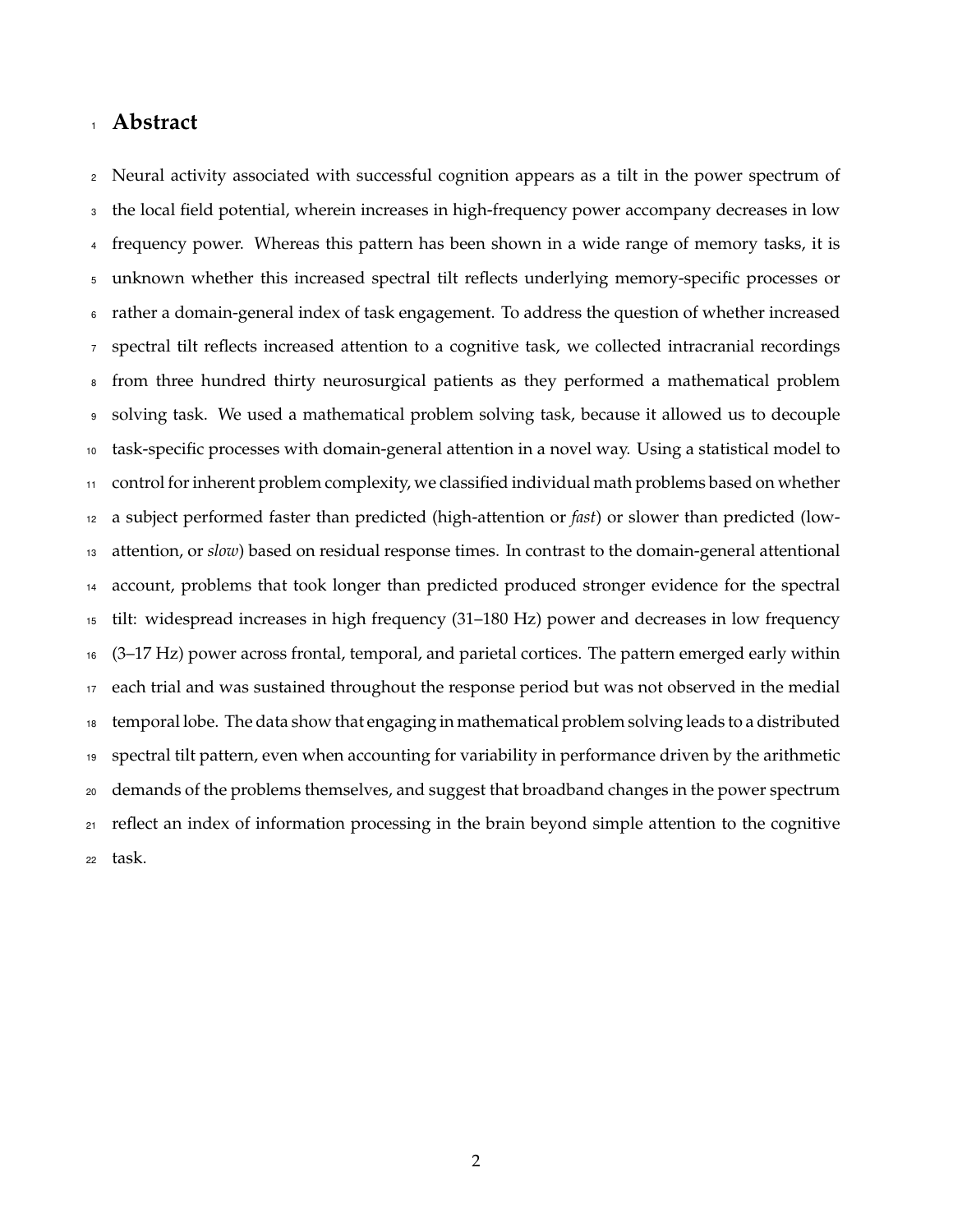## **Abstract**

 Neural activity associated with successful cognition appears as a tilt in the power spectrum of the local field potential, wherein increases in high-frequency power accompany decreases in low frequency power. Whereas this pattern has been shown in a wide range of memory tasks, it is unknown whether this increased spectral tilt reflects underlying memory-specific processes or rather a domain-general index of task engagement. To address the question of whether increased spectral tilt reflects increased attention to a cognitive task, we collected intracranial recordings from three hundred thirty neurosurgical patients as they performed a mathematical problem solving task. We used a mathematical problem solving task, because it allowed us to decouple task-specific processes with domain-general attention in a novel way. Using a statistical model to control for inherent problem complexity, we classified individual math problems based on whether a subject performed faster than predicted (high-attention or *fast*) or slower than predicted (low- attention, or *slow*) based on residual response times. In contrast to the domain-general attentional account, problems that took longer than predicted produced stronger evidence for the spectral tilt: widespread increases in high frequency (31–180 Hz) power and decreases in low frequency (3–17 Hz) power across frontal, temporal, and parietal cortices. The pattern emerged early within each trial and was sustained throughout the response period but was not observed in the medial temporal lobe. The data show that engaging in mathematical problem solving leads to a distributed spectral tilt pattern, even when accounting for variability in performance driven by the arithmetic demands of the problems themselves, and suggest that broadband changes in the power spectrum reflect an index of information processing in the brain beyond simple attention to the cognitive task.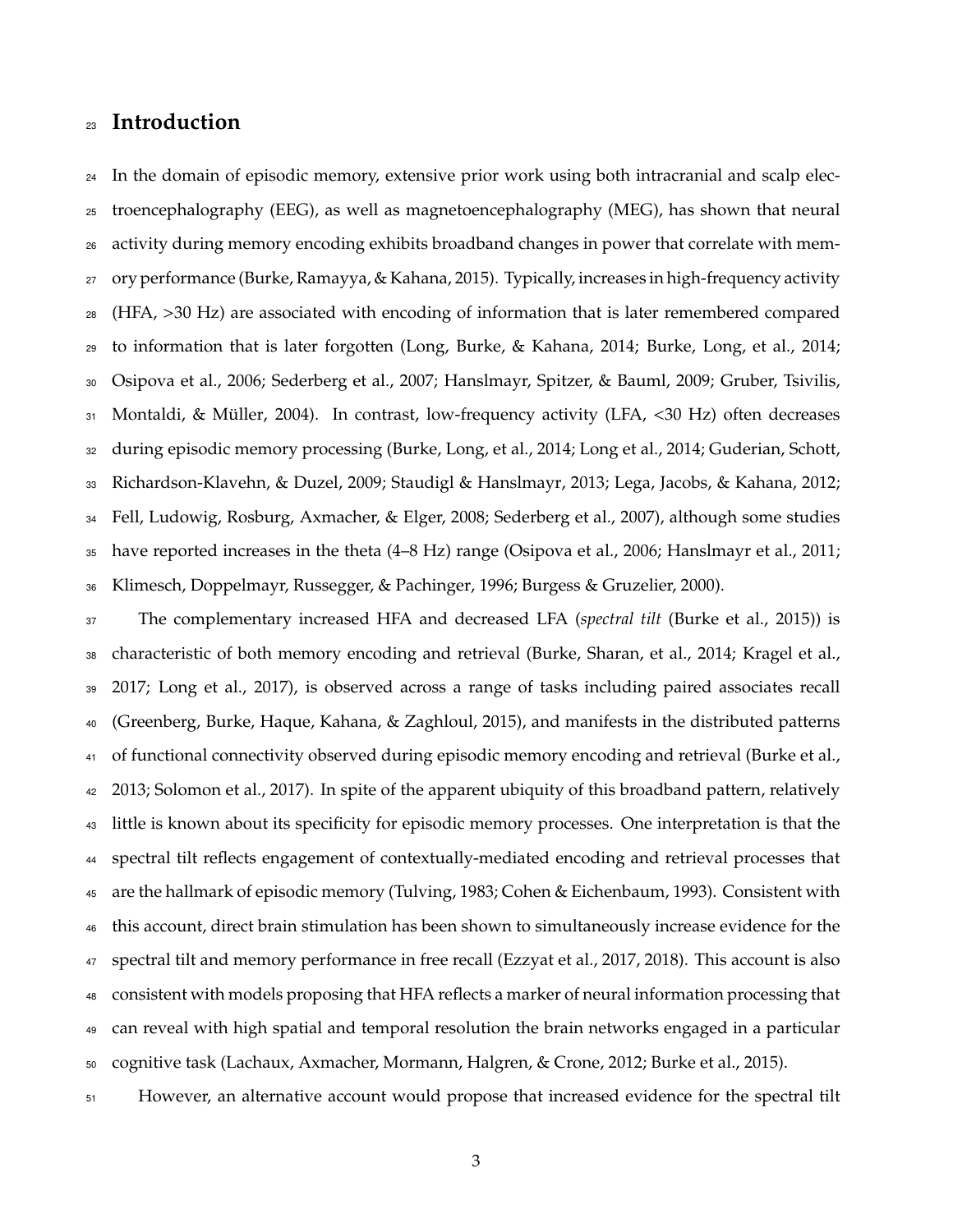# **Introduction**

 In the domain of episodic memory, extensive prior work using both intracranial and scalp elec- troencephalography (EEG), as well as magnetoencephalography (MEG), has shown that neural activity during memory encoding exhibits broadband changes in power that correlate with mem- ory performance (Burke, Ramayya, & Kahana, 2015). Typically, increases in high-frequency activity (HFA, >30 Hz) are associated with encoding of information that is later remembered compared to information that is later forgotten (Long, Burke, & Kahana, 2014; Burke, Long, et al., 2014; Osipova et al., 2006; Sederberg et al., 2007; Hanslmayr, Spitzer, & Bauml, 2009; Gruber, Tsivilis, 31 Montaldi, & Müller, 2004). In contrast, low-frequency activity (LFA, <30 Hz) often decreases during episodic memory processing (Burke, Long, et al., 2014; Long et al., 2014; Guderian, Schott, Richardson-Klavehn, & Duzel, 2009; Staudigl & Hanslmayr, 2013; Lega, Jacobs, & Kahana, 2012; Fell, Ludowig, Rosburg, Axmacher, & Elger, 2008; Sederberg et al., 2007), although some studies have reported increases in the theta (4–8 Hz) range (Osipova et al., 2006; Hanslmayr et al., 2011; Klimesch, Doppelmayr, Russegger, & Pachinger, 1996; Burgess & Gruzelier, 2000).

 The complementary increased HFA and decreased LFA (*spectral tilt* (Burke et al., 2015)) is characteristic of both memory encoding and retrieval (Burke, Sharan, et al., 2014; Kragel et al., 2017; Long et al., 2017), is observed across a range of tasks including paired associates recall (Greenberg, Burke, Haque, Kahana, & Zaghloul, 2015), and manifests in the distributed patterns 41 of functional connectivity observed during episodic memory encoding and retrieval (Burke et al., 2013; Solomon et al., 2017). In spite of the apparent ubiquity of this broadband pattern, relatively little is known about its specificity for episodic memory processes. One interpretation is that the spectral tilt reflects engagement of contextually-mediated encoding and retrieval processes that are the hallmark of episodic memory (Tulving, 1983; Cohen & Eichenbaum, 1993). Consistent with this account, direct brain stimulation has been shown to simultaneously increase evidence for the spectral tilt and memory performance in free recall (Ezzyat et al., 2017, 2018). This account is also consistent with models proposing that HFA reflects a marker of neural information processing that can reveal with high spatial and temporal resolution the brain networks engaged in a particular cognitive task (Lachaux, Axmacher, Mormann, Halgren, & Crone, 2012; Burke et al., 2015).

However, an alternative account would propose that increased evidence for the spectral tilt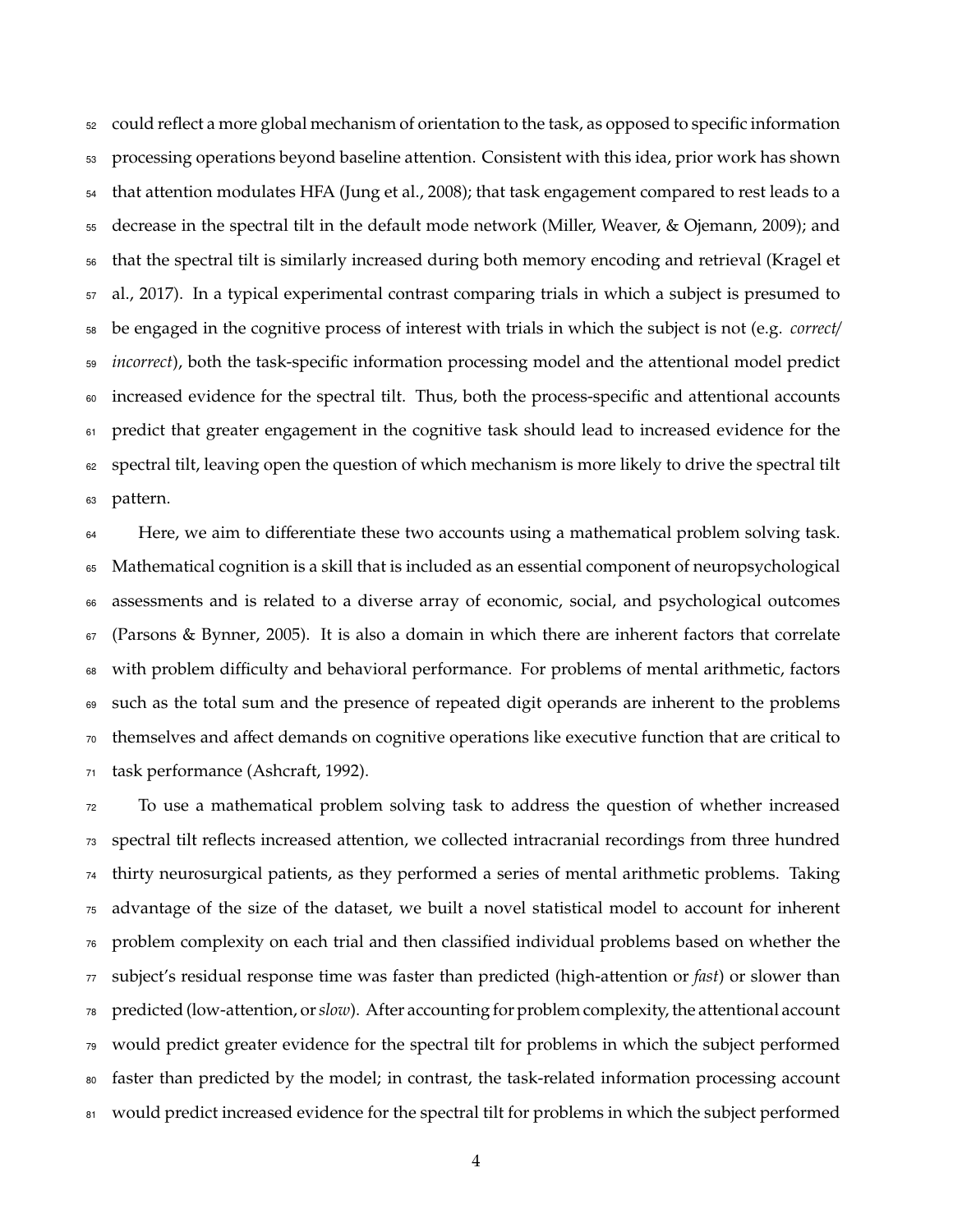could reflect a more global mechanism of orientation to the task, as opposed to specific information 53 processing operations beyond baseline attention. Consistent with this idea, prior work has shown that attention modulates HFA (Jung et al., 2008); that task engagement compared to rest leads to a decrease in the spectral tilt in the default mode network (Miller, Weaver, & Ojemann, 2009); and that the spectral tilt is similarly increased during both memory encoding and retrieval (Kragel et al., 2017). In a typical experimental contrast comparing trials in which a subject is presumed to be engaged in the cognitive process of interest with trials in which the subject is not (e.g. *correct*/ *incorrect*), both the task-specific information processing model and the attentional model predict increased evidence for the spectral tilt. Thus, both the process-specific and attentional accounts predict that greater engagement in the cognitive task should lead to increased evidence for the spectral tilt, leaving open the question of which mechanism is more likely to drive the spectral tilt pattern.

 Here, we aim to differentiate these two accounts using a mathematical problem solving task. Mathematical cognition is a skill that is included as an essential component of neuropsychological assessments and is related to a diverse array of economic, social, and psychological outcomes (Parsons & Bynner, 2005). It is also a domain in which there are inherent factors that correlate 68 with problem difficulty and behavioral performance. For problems of mental arithmetic, factors such as the total sum and the presence of repeated digit operands are inherent to the problems themselves and a↵ect demands on cognitive operations like executive function that are critical to task performance (Ashcraft, 1992).

 To use a mathematical problem solving task to address the question of whether increased spectral tilt reflects increased attention, we collected intracranial recordings from three hundred thirty neurosurgical patients, as they performed a series of mental arithmetic problems. Taking advantage of the size of the dataset, we built a novel statistical model to account for inherent problem complexity on each trial and then classified individual problems based on whether the subject's residual response time was faster than predicted (high-attention or *fast*) or slower than predicted (low-attention, or*slow*). After accounting for problem complexity, the attentional account would predict greater evidence for the spectral tilt for problems in which the subject performed faster than predicted by the model; in contrast, the task-related information processing account 81 would predict increased evidence for the spectral tilt for problems in which the subject performed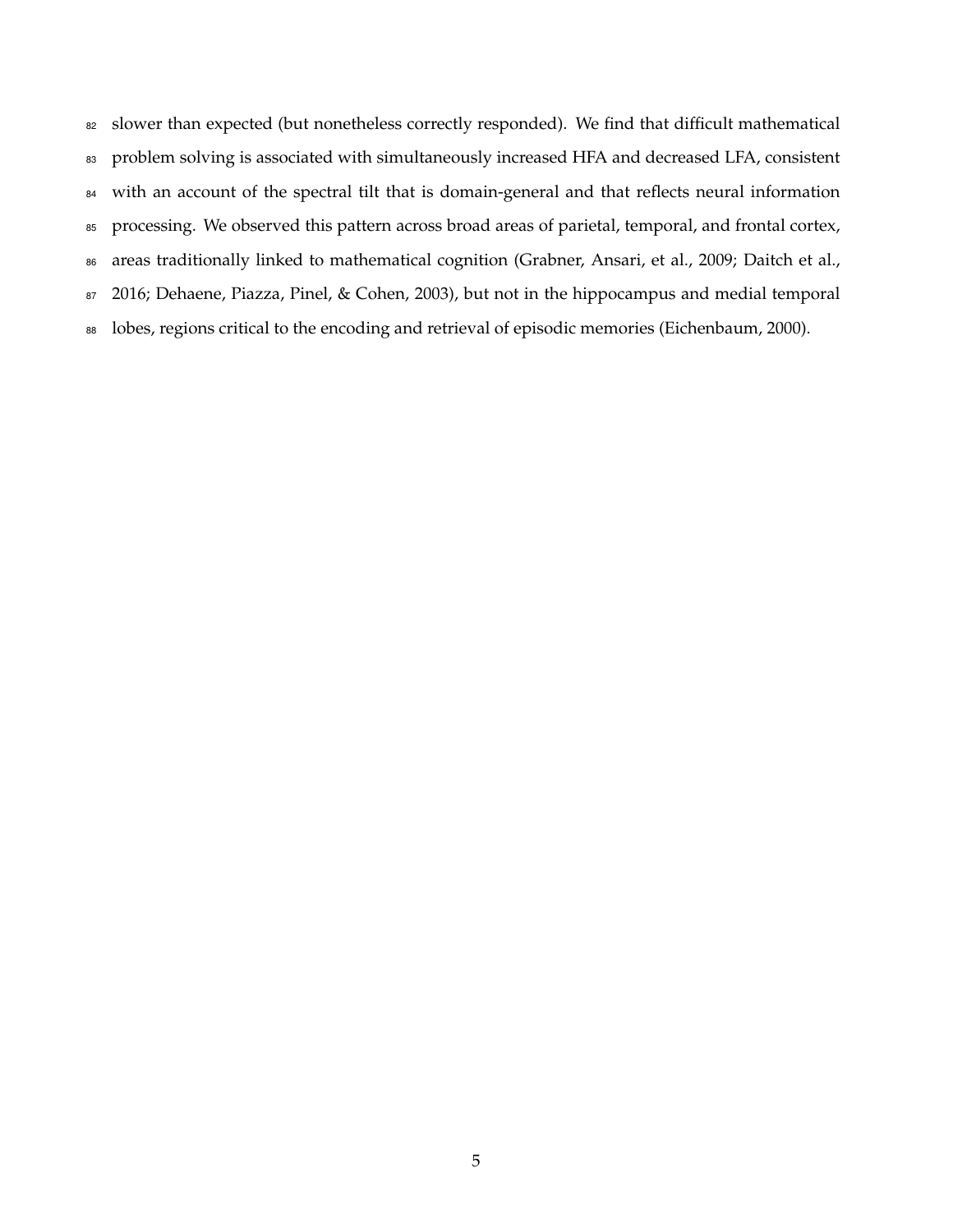82 slower than expected (but nonetheless correctly responded). We find that difficult mathematical 83 problem solving is associated with simultaneously increased HFA and decreased LFA, consistent 84 with an account of the spectral tilt that is domain-general and that reflects neural information 85 processing. We observed this pattern across broad areas of parietal, temporal, and frontal cortex, 86 areas traditionally linked to mathematical cognition (Grabner, Ansari, et al., 2009; Daitch et al., 87 2016; Dehaene, Piazza, Pinel, & Cohen, 2003), but not in the hippocampus and medial temporal 88 lobes, regions critical to the encoding and retrieval of episodic memories (Eichenbaum, 2000).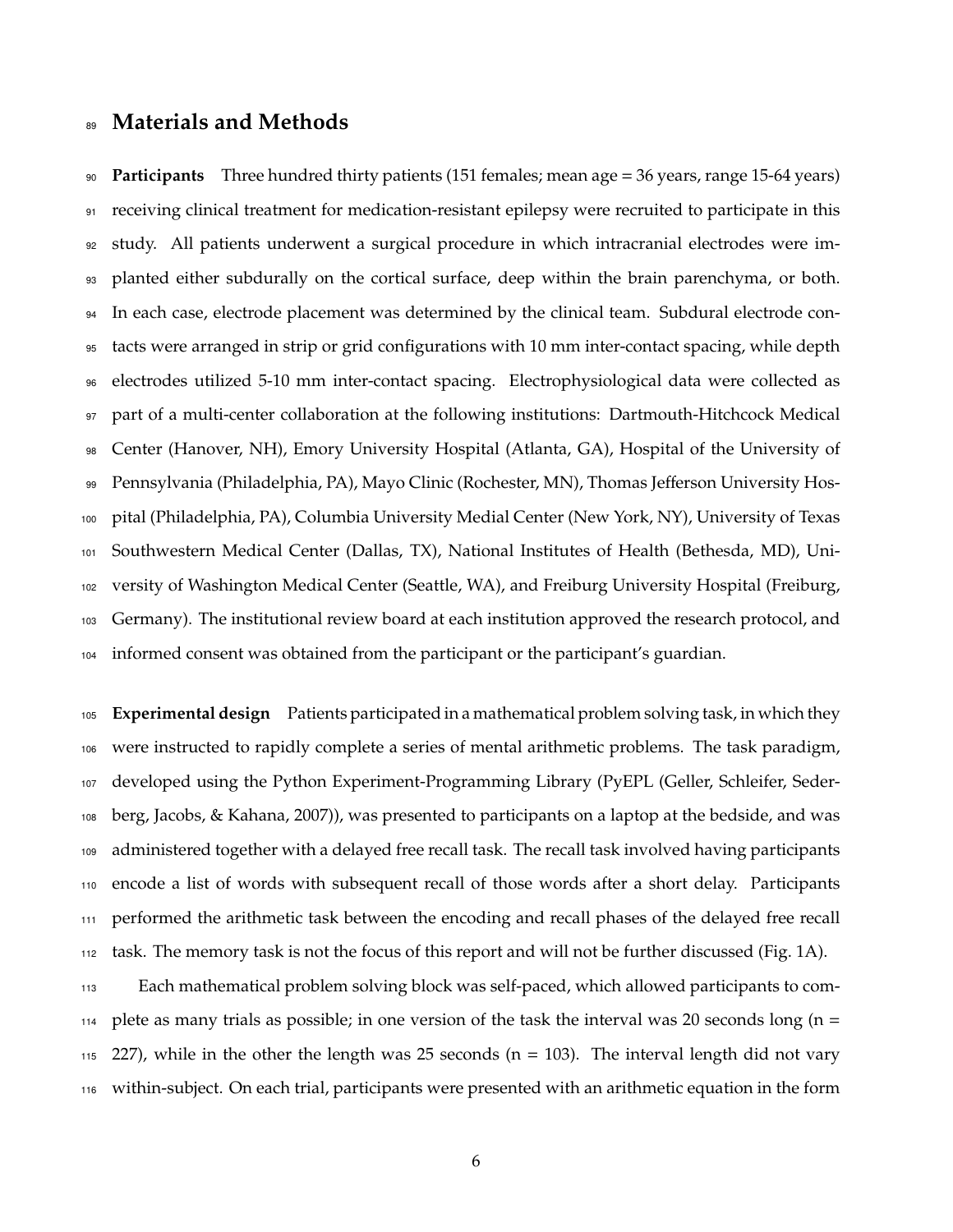## **Materials and Methods**

 **Participants** Three hundred thirty patients (151 females; mean age = 36 years, range 15-64 years) receiving clinical treatment for medication-resistant epilepsy were recruited to participate in this study. All patients underwent a surgical procedure in which intracranial electrodes were im- planted either subdurally on the cortical surface, deep within the brain parenchyma, or both. In each case, electrode placement was determined by the clinical team. Subdural electrode con- tacts were arranged in strip or grid configurations with 10 mm inter-contact spacing, while depth electrodes utilized 5-10 mm inter-contact spacing. Electrophysiological data were collected as part of a multi-center collaboration at the following institutions: Dartmouth-Hitchcock Medical Center (Hanover, NH), Emory University Hospital (Atlanta, GA), Hospital of the University of 99 Pennsylvania (Philadelphia, PA), Mayo Clinic (Rochester, MN), Thomas Jefferson University Hos- pital (Philadelphia, PA), Columbia University Medial Center (New York, NY), University of Texas Southwestern Medical Center (Dallas, TX), National Institutes of Health (Bethesda, MD), Uni-102 versity of Washington Medical Center (Seattle, WA), and Freiburg University Hospital (Freiburg, Germany). The institutional review board at each institution approved the research protocol, and informed consent was obtained from the participant or the participant's guardian.

 **Experimental design** Patients participated in a mathematical problem solving task, in which they were instructed to rapidly complete a series of mental arithmetic problems. The task paradigm, developed using the Python Experiment-Programming Library (PyEPL (Geller, Schleifer, Seder- berg, Jacobs, & Kahana, 2007)), was presented to participants on a laptop at the bedside, and was administered together with a delayed free recall task. The recall task involved having participants encode a list of words with subsequent recall of those words after a short delay. Participants performed the arithmetic task between the encoding and recall phases of the delayed free recall task. The memory task is not the focus of this report and will not be further discussed (Fig. 1A).

 Each mathematical problem solving block was self-paced, which allowed participants to com- plete as many trials as possible; in one version of the task the interval was 20 seconds long (n = 227), while in the other the length was 25 seconds (n = 103). The interval length did not vary within-subject. On each trial, participants were presented with an arithmetic equation in the form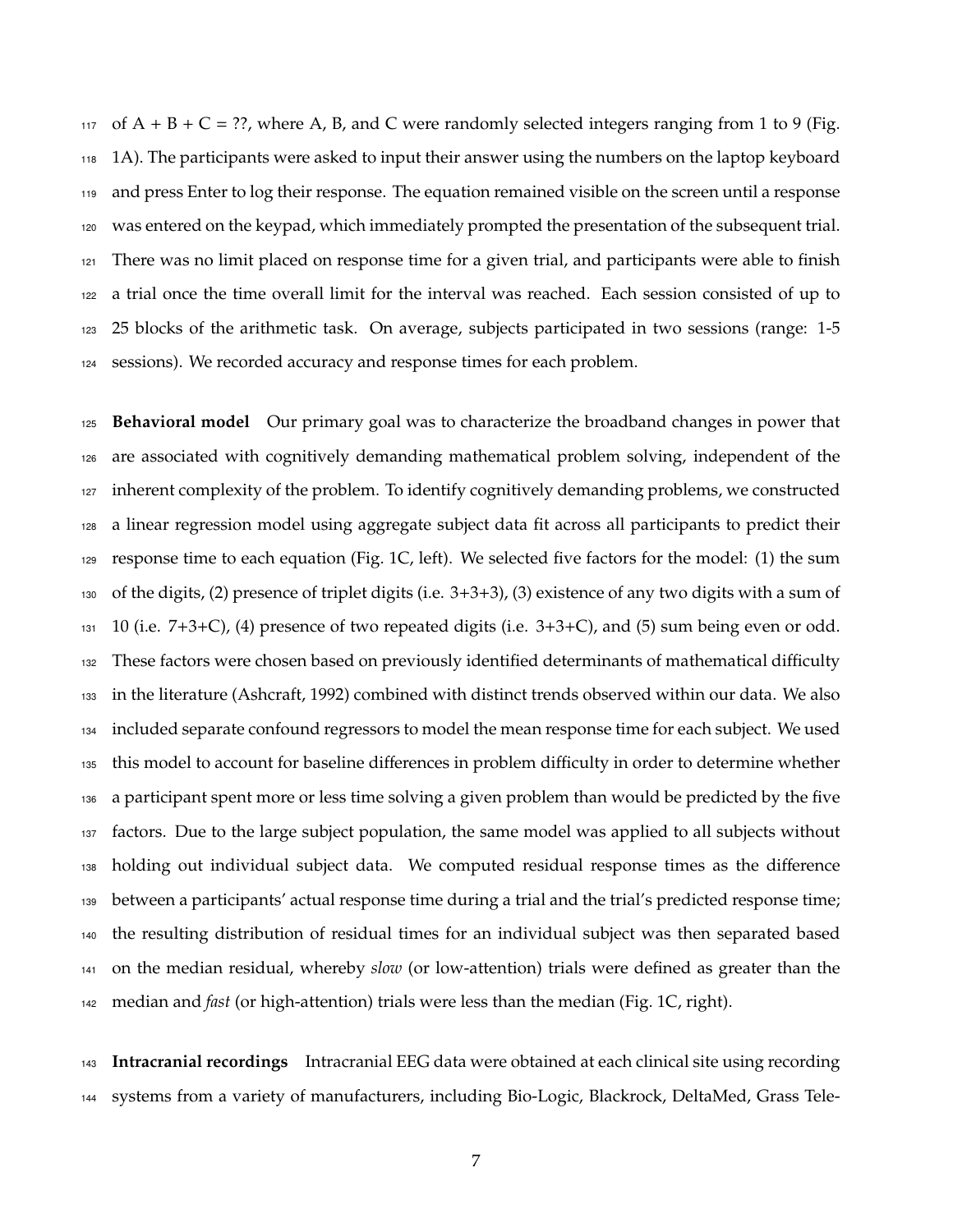117 of  $A + B + C =$  ??, where A, B, and C were randomly selected integers ranging from 1 to 9 (Fig. 1A). The participants were asked to input their answer using the numbers on the laptop keyboard and press Enter to log their response. The equation remained visible on the screen until a response 120 was entered on the keypad, which immediately prompted the presentation of the subsequent trial. There was no limit placed on response time for a given trial, and participants were able to finish a trial once the time overall limit for the interval was reached. Each session consisted of up to 25 blocks of the arithmetic task. On average, subjects participated in two sessions (range: 1-5 sessions). We recorded accuracy and response times for each problem.

 **Behavioral model** Our primary goal was to characterize the broadband changes in power that are associated with cognitively demanding mathematical problem solving, independent of the inherent complexity of the problem. To identify cognitively demanding problems, we constructed a linear regression model using aggregate subject data fit across all participants to predict their response time to each equation (Fig. 1C, left). We selected five factors for the model: (1) the sum of the digits, (2) presence of triplet digits (i.e. 3+3+3), (3) existence of any two digits with a sum of  $131 \quad 10$  (i.e.  $7+3+C$ ), (4) presence of two repeated digits (i.e.  $3+3+C$ ), and (5) sum being even or odd. <sup>132</sup> These factors were chosen based on previously identified determinants of mathematical difficulty in the literature (Ashcraft, 1992) combined with distinct trends observed within our data. We also included separate confound regressors to model the mean response time for each subject. We used 135 this model to account for baseline differences in problem difficulty in order to determine whether a participant spent more or less time solving a given problem than would be predicted by the five factors. Due to the large subject population, the same model was applied to all subjects without 138 holding out individual subject data. We computed residual response times as the difference between a participants' actual response time during a trial and the trial's predicted response time; the resulting distribution of residual times for an individual subject was then separated based on the median residual, whereby *slow* (or low-attention) trials were defined as greater than the median and *fast* (or high-attention) trials were less than the median (Fig. 1C, right).

 **Intracranial recordings** Intracranial EEG data were obtained at each clinical site using recording systems from a variety of manufacturers, including Bio-Logic, Blackrock, DeltaMed, Grass Tele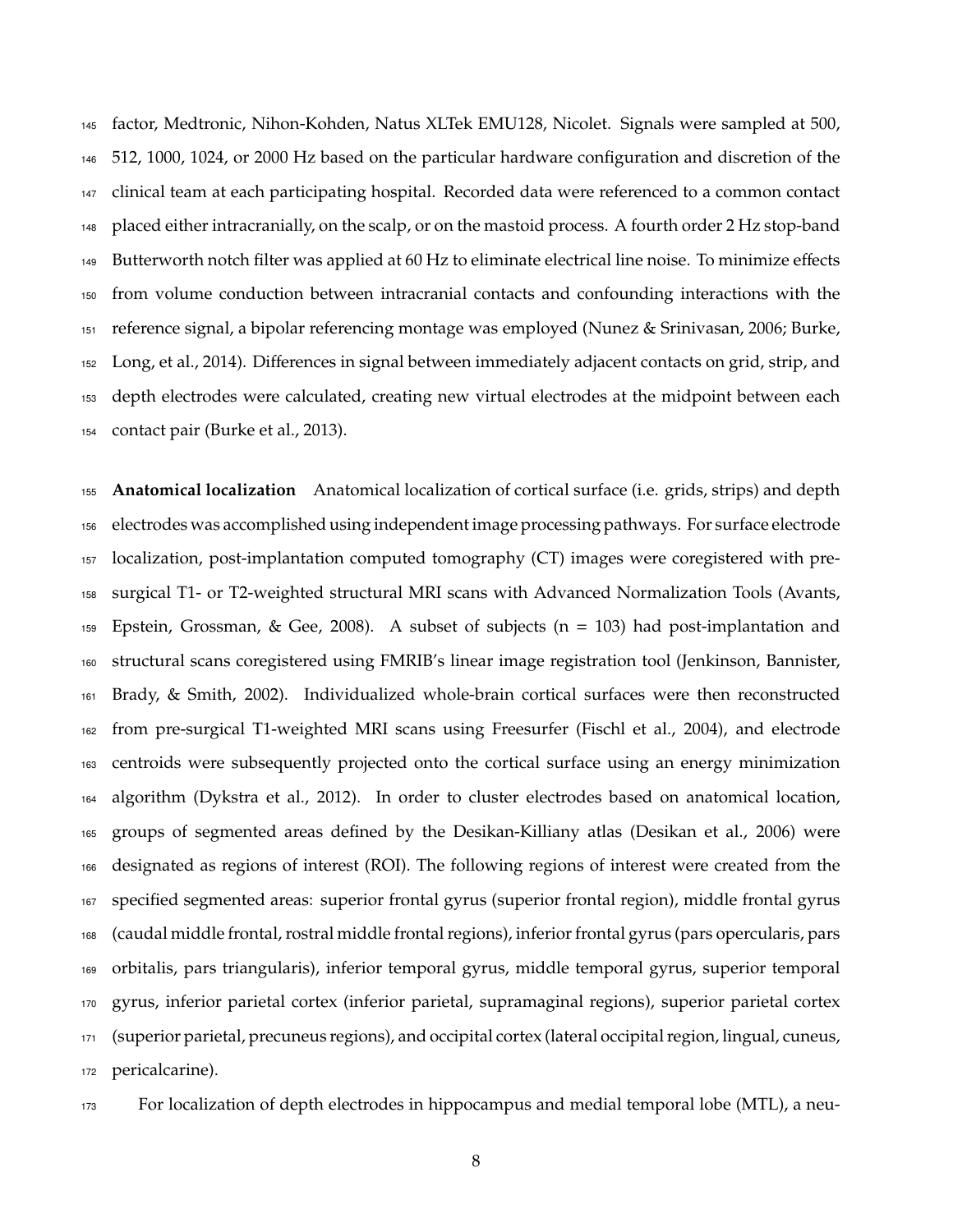factor, Medtronic, Nihon-Kohden, Natus XLTek EMU128, Nicolet. Signals were sampled at 500, 512, 1000, 1024, or 2000 Hz based on the particular hardware configuration and discretion of the clinical team at each participating hospital. Recorded data were referenced to a common contact placed either intracranially, on the scalp, or on the mastoid process. A fourth order 2 Hz stop-band 149 Butterworth notch filter was applied at 60 Hz to eliminate electrical line noise. To minimize effects from volume conduction between intracranial contacts and confounding interactions with the reference signal, a bipolar referencing montage was employed (Nunez & Srinivasan, 2006; Burke, 152 Long, et al., 2014). Differences in signal between immediately adjacent contacts on grid, strip, and depth electrodes were calculated, creating new virtual electrodes at the midpoint between each contact pair (Burke et al., 2013).

 **Anatomical localization** Anatomical localization of cortical surface (i.e. grids, strips) and depth electrodes was accomplished using independent image processing pathways. For surface electrode localization, post-implantation computed tomography (CT) images were coregistered with pre- surgical T1- or T2-weighted structural MRI scans with Advanced Normalization Tools (Avants, 159 Epstein, Grossman, & Gee, 2008). A subset of subjects ( $n = 103$ ) had post-implantation and structural scans coregistered using FMRIB's linear image registration tool (Jenkinson, Bannister, Brady, & Smith, 2002). Individualized whole-brain cortical surfaces were then reconstructed from pre-surgical T1-weighted MRI scans using Freesurfer (Fischl et al., 2004), and electrode centroids were subsequently projected onto the cortical surface using an energy minimization algorithm (Dykstra et al., 2012). In order to cluster electrodes based on anatomical location, groups of segmented areas defined by the Desikan-Killiany atlas (Desikan et al., 2006) were designated as regions of interest (ROI). The following regions of interest were created from the specified segmented areas: superior frontal gyrus (superior frontal region), middle frontal gyrus (caudal middle frontal, rostral middle frontal regions), inferior frontal gyrus (pars opercularis, pars orbitalis, pars triangularis), inferior temporal gyrus, middle temporal gyrus, superior temporal gyrus, inferior parietal cortex (inferior parietal, supramaginal regions), superior parietal cortex (superior parietal, precuneus regions), and occipital cortex (lateral occipital region, lingual, cuneus, pericalcarine).

For localization of depth electrodes in hippocampus and medial temporal lobe (MTL), a neu-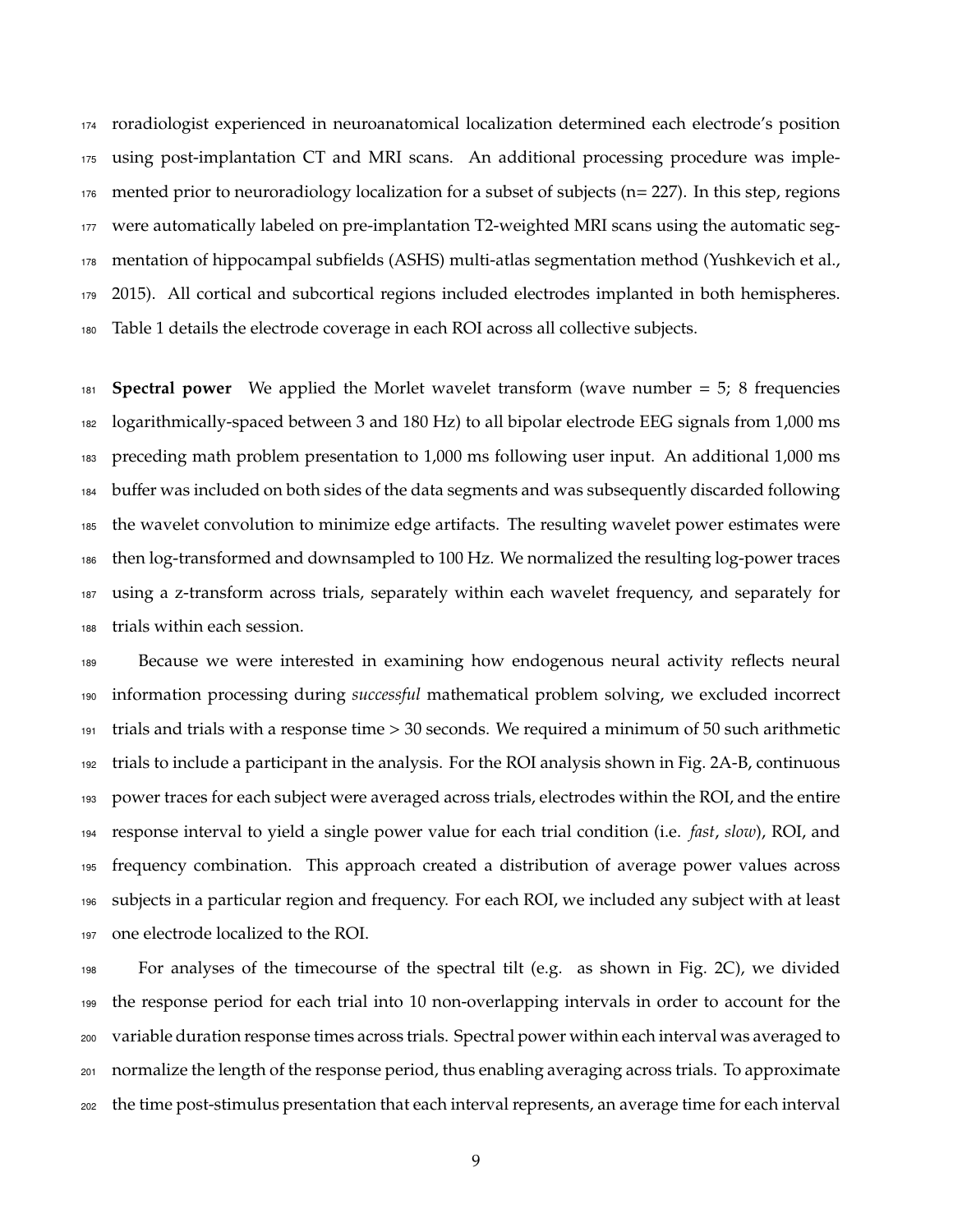roradiologist experienced in neuroanatomical localization determined each electrode's position using post-implantation CT and MRI scans. An additional processing procedure was imple- mented prior to neuroradiology localization for a subset of subjects (n= 227). In this step, regions were automatically labeled on pre-implantation T2-weighted MRI scans using the automatic seg- mentation of hippocampal subfields (ASHS) multi-atlas segmentation method (Yushkevich et al., 2015). All cortical and subcortical regions included electrodes implanted in both hemispheres. Table 1 details the electrode coverage in each ROI across all collective subjects.

 **Spectral power** We applied the Morlet wavelet transform (wave number = 5; 8 frequencies logarithmically-spaced between 3 and 180 Hz) to all bipolar electrode EEG signals from 1,000 ms preceding math problem presentation to 1,000 ms following user input. An additional 1,000 ms 184 buffer was included on both sides of the data segments and was subsequently discarded following the wavelet convolution to minimize edge artifacts. The resulting wavelet power estimates were then log-transformed and downsampled to 100 Hz. We normalized the resulting log-power traces using a z-transform across trials, separately within each wavelet frequency, and separately for trials within each session.

 Because we were interested in examining how endogenous neural activity reflects neural information processing during *successful* mathematical problem solving, we excluded incorrect trials and trials with a response time  $> 30$  seconds. We required a minimum of 50 such arithmetic trials to include a participant in the analysis. For the ROI analysis shown in Fig. 2A-B, continuous power traces for each subject were averaged across trials, electrodes within the ROI, and the entire response interval to yield a single power value for each trial condition (i.e. *fast*, *slow*), ROI, and frequency combination. This approach created a distribution of average power values across subjects in a particular region and frequency. For each ROI, we included any subject with at least one electrode localized to the ROI.

 For analyses of the timecourse of the spectral tilt (e.g. as shown in Fig. 2C), we divided the response period for each trial into 10 non-overlapping intervals in order to account for the variable duration response times across trials. Spectral power within each interval was averaged to normalize the length of the response period, thus enabling averaging across trials. To approximate the time post-stimulus presentation that each interval represents, an average time for each interval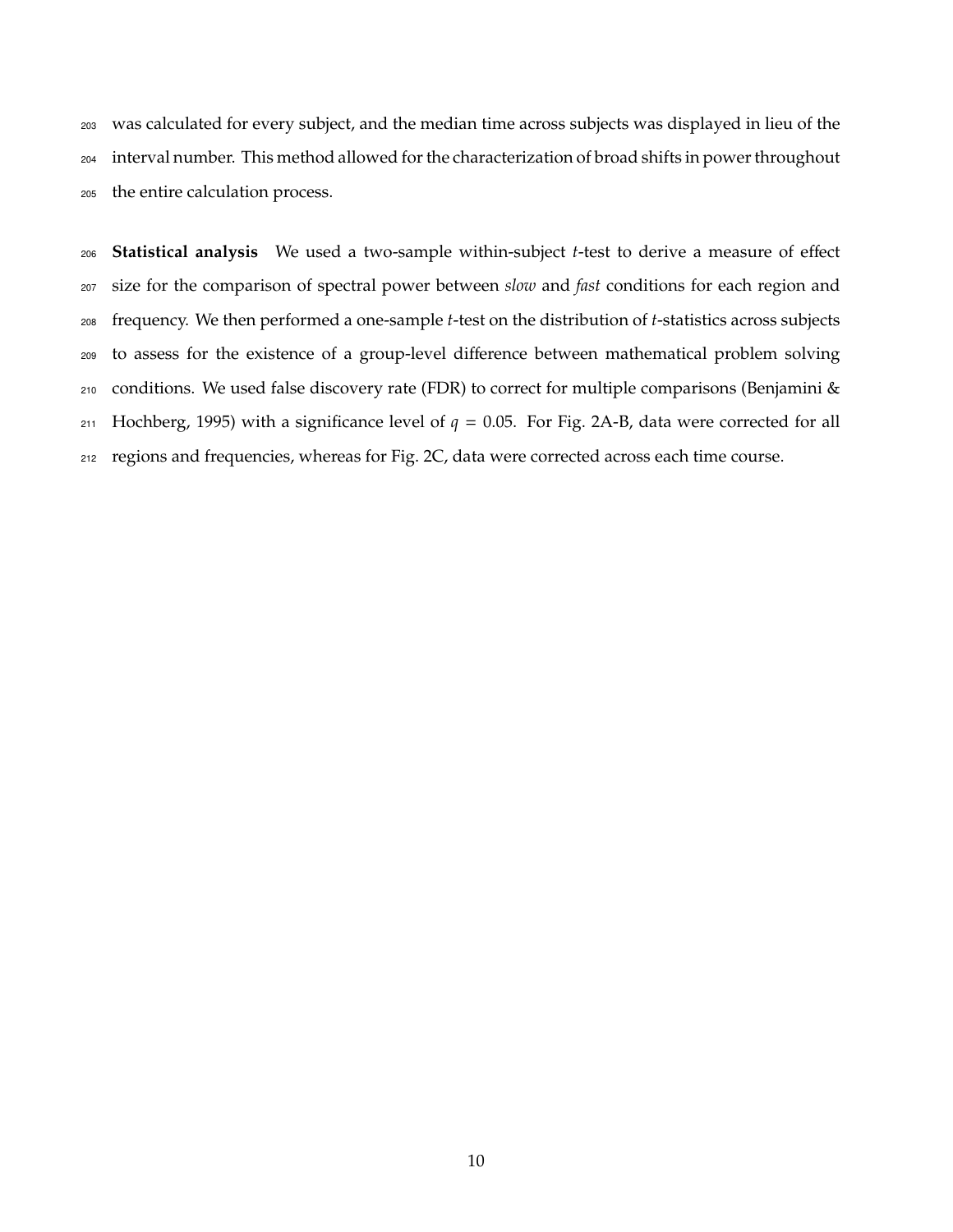was calculated for every subject, and the median time across subjects was displayed in lieu of the interval number. This method allowed for the characterization of broad shifts in power throughout the entire calculation process.

**Statistical analysis** We used a two-sample within-subject *t*-test to derive a measure of effect size for the comparison of spectral power between *slow* and *fast* conditions for each region and frequency. We then performed a one-sample *t*-test on the distribution of *t*-statistics across subjects 209 to assess for the existence of a group-level difference between mathematical problem solving conditions. We used false discovery rate (FDR) to correct for multiple comparisons (Benjamini & 211 Hochberg, 1995) with a significance level of  $q = 0.05$ . For Fig. 2A-B, data were corrected for all regions and frequencies, whereas for Fig. 2C, data were corrected across each time course.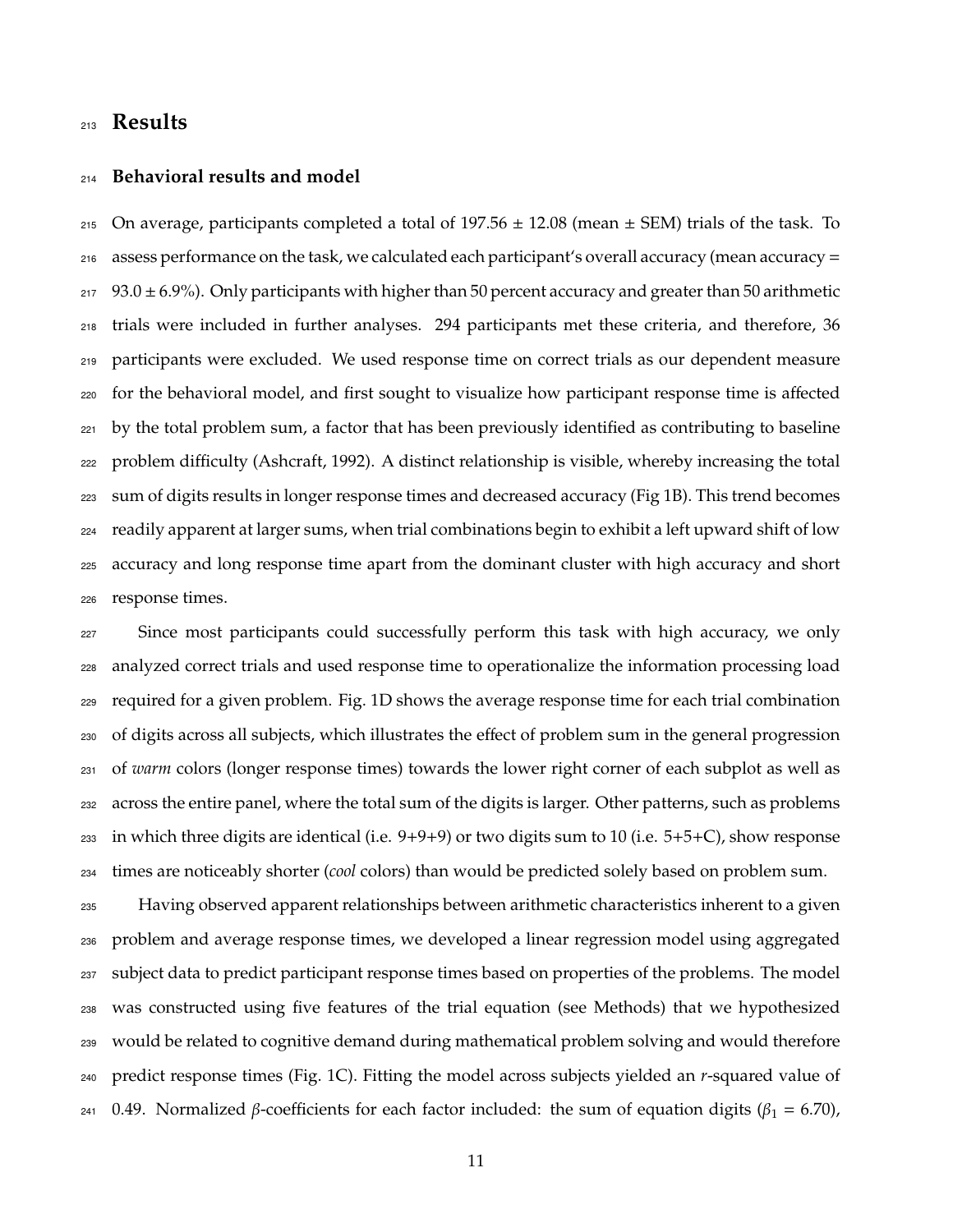## **Results**

#### **Behavioral results and model**

215 On average, participants completed a total of 197.56  $\pm$  12.08 (mean  $\pm$  SEM) trials of the task. To  $_{216}$  assess performance on the task, we calculated each participant's overall accuracy (mean accuracy = 93.0  $\pm$  6.9%). Only participants with higher than 50 percent accuracy and greater than 50 arithmetic trials were included in further analyses. 294 participants met these criteria, and therefore, 36 participants were excluded. We used response time on correct trials as our dependent measure <sub>220</sub> for the behavioral model, and first sought to visualize how participant response time is affected by the total problem sum, a factor that has been previously identified as contributing to baseline 222 problem difficulty (Ashcraft, 1992). A distinct relationship is visible, whereby increasing the total sum of digits results in longer response times and decreased accuracy (Fig 1B). This trend becomes readily apparent at larger sums, when trial combinations begin to exhibit a left upward shift of low accuracy and long response time apart from the dominant cluster with high accuracy and short response times.

 Since most participants could successfully perform this task with high accuracy, we only analyzed correct trials and used response time to operationalize the information processing load required for a given problem. Fig. 1D shows the average response time for each trial combination 230 of digits across all subjects, which illustrates the effect of problem sum in the general progression of *warm* colors (longer response times) towards the lower right corner of each subplot as well as across the entire panel, where the total sum of the digits is larger. Other patterns, such as problems in which three digits are identical (i.e. 9+9+9) or two digits sum to 10 (i.e. 5+5+C), show response times are noticeably shorter (*cool* colors) than would be predicted solely based on problem sum.

 Having observed apparent relationships between arithmetic characteristics inherent to a given problem and average response times, we developed a linear regression model using aggregated subject data to predict participant response times based on properties of the problems. The model was constructed using five features of the trial equation (see Methods) that we hypothesized would be related to cognitive demand during mathematical problem solving and would therefore predict response times (Fig. 1C). Fitting the model across subjects yielded an *r*-squared value of 241 0.49. Normalized  $\beta$ -coefficients for each factor included: the sum of equation digits ( $\beta_1 = 6.70$ ),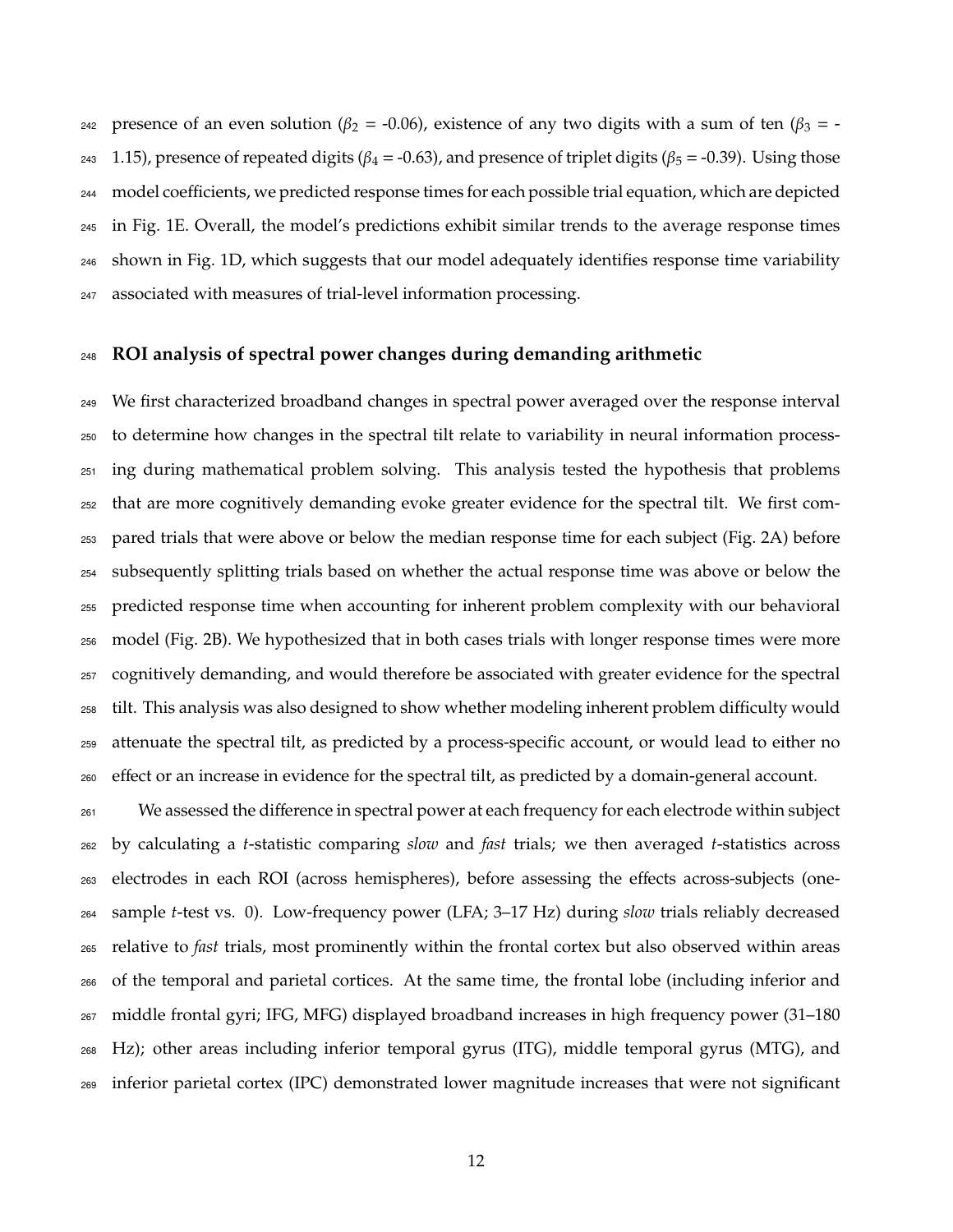242 presence of an even solution ( $\beta_2$  = -0.06), existence of any two digits with a sum of ten ( $\beta_3$  = -243 1.15), presence of repeated digits ( $\beta_4$  = -0.63), and presence of triplet digits ( $\beta_5$  = -0.39). Using those 244 model coefficients, we predicted response times for each possible trial equation, which are depicted in Fig. 1E. Overall, the model's predictions exhibit similar trends to the average response times shown in Fig. 1D, which suggests that our model adequately identifies response time variability associated with measures of trial-level information processing.

## **ROI analysis of spectral power changes during demanding arithmetic**

 We first characterized broadband changes in spectral power averaged over the response interval to determine how changes in the spectral tilt relate to variability in neural information process- ing during mathematical problem solving. This analysis tested the hypothesis that problems that are more cognitively demanding evoke greater evidence for the spectral tilt. We first com- pared trials that were above or below the median response time for each subject (Fig. 2A) before subsequently splitting trials based on whether the actual response time was above or below the predicted response time when accounting for inherent problem complexity with our behavioral model (Fig. 2B). We hypothesized that in both cases trials with longer response times were more cognitively demanding, and would therefore be associated with greater evidence for the spectral 258 tilt. This analysis was also designed to show whether modeling inherent problem difficulty would attenuate the spectral tilt, as predicted by a process-specific account, or would lead to either no <sub>260</sub> effect or an increase in evidence for the spectral tilt, as predicted by a domain-general account.

<sup>261</sup> We assessed the difference in spectral power at each frequency for each electrode within subject by calculating a *t*-statistic comparing *slow* and *fast* trials; we then averaged *t*-statistics across <sub>263</sub> electrodes in each ROI (across hemispheres), before assessing the effects across-subjects (one- sample *t*-test vs. 0). Low-frequency power (LFA; 3–17 Hz) during *slow* trials reliably decreased relative to *fast* trials, most prominently within the frontal cortex but also observed within areas of the temporal and parietal cortices. At the same time, the frontal lobe (including inferior and middle frontal gyri; IFG, MFG) displayed broadband increases in high frequency power (31–180 Hz); other areas including inferior temporal gyrus (ITG), middle temporal gyrus (MTG), and inferior parietal cortex (IPC) demonstrated lower magnitude increases that were not significant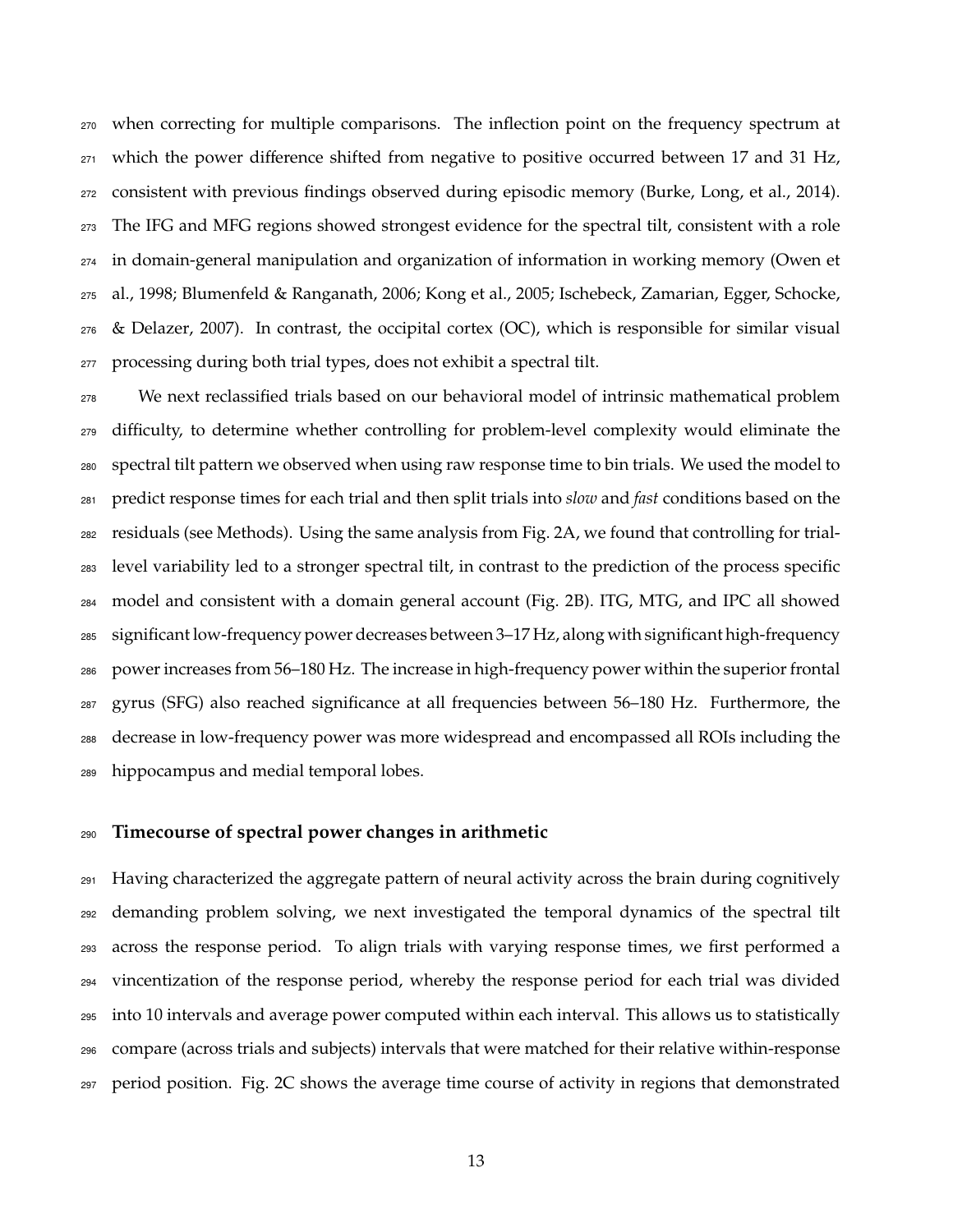when correcting for multiple comparisons. The inflection point on the frequency spectrum at which the power difference shifted from negative to positive occurred between 17 and 31 Hz, consistent with previous findings observed during episodic memory (Burke, Long, et al., 2014). The IFG and MFG regions showed strongest evidence for the spectral tilt, consistent with a role in domain-general manipulation and organization of information in working memory (Owen et al., 1998; Blumenfeld & Ranganath, 2006; Kong et al., 2005; Ischebeck, Zamarian, Egger, Schocke, & Delazer, 2007). In contrast, the occipital cortex (OC), which is responsible for similar visual processing during both trial types, does not exhibit a spectral tilt.

 We next reclassified trials based on our behavioral model of intrinsic mathematical problem <sub>279</sub> difficulty, to determine whether controlling for problem-level complexity would eliminate the spectral tilt pattern we observed when using raw response time to bin trials. We used the model to predict response times for each trial and then split trials into *slow* and *fast* conditions based on the residuals (see Methods). Using the same analysis from Fig. 2A, we found that controlling for trial- level variability led to a stronger spectral tilt, in contrast to the prediction of the process specific model and consistent with a domain general account (Fig. 2B). ITG, MTG, and IPC all showed significant low-frequency power decreases between 3–17 Hz, along with significant high-frequency power increases from 56–180 Hz. The increase in high-frequency power within the superior frontal gyrus (SFG) also reached significance at all frequencies between 56–180 Hz. Furthermore, the decrease in low-frequency power was more widespread and encompassed all ROIs including the hippocampus and medial temporal lobes.

## **Timecourse of spectral power changes in arithmetic**

 Having characterized the aggregate pattern of neural activity across the brain during cognitively demanding problem solving, we next investigated the temporal dynamics of the spectral tilt across the response period. To align trials with varying response times, we first performed a vincentization of the response period, whereby the response period for each trial was divided into 10 intervals and average power computed within each interval. This allows us to statistically compare (across trials and subjects) intervals that were matched for their relative within-response period position. Fig. 2C shows the average time course of activity in regions that demonstrated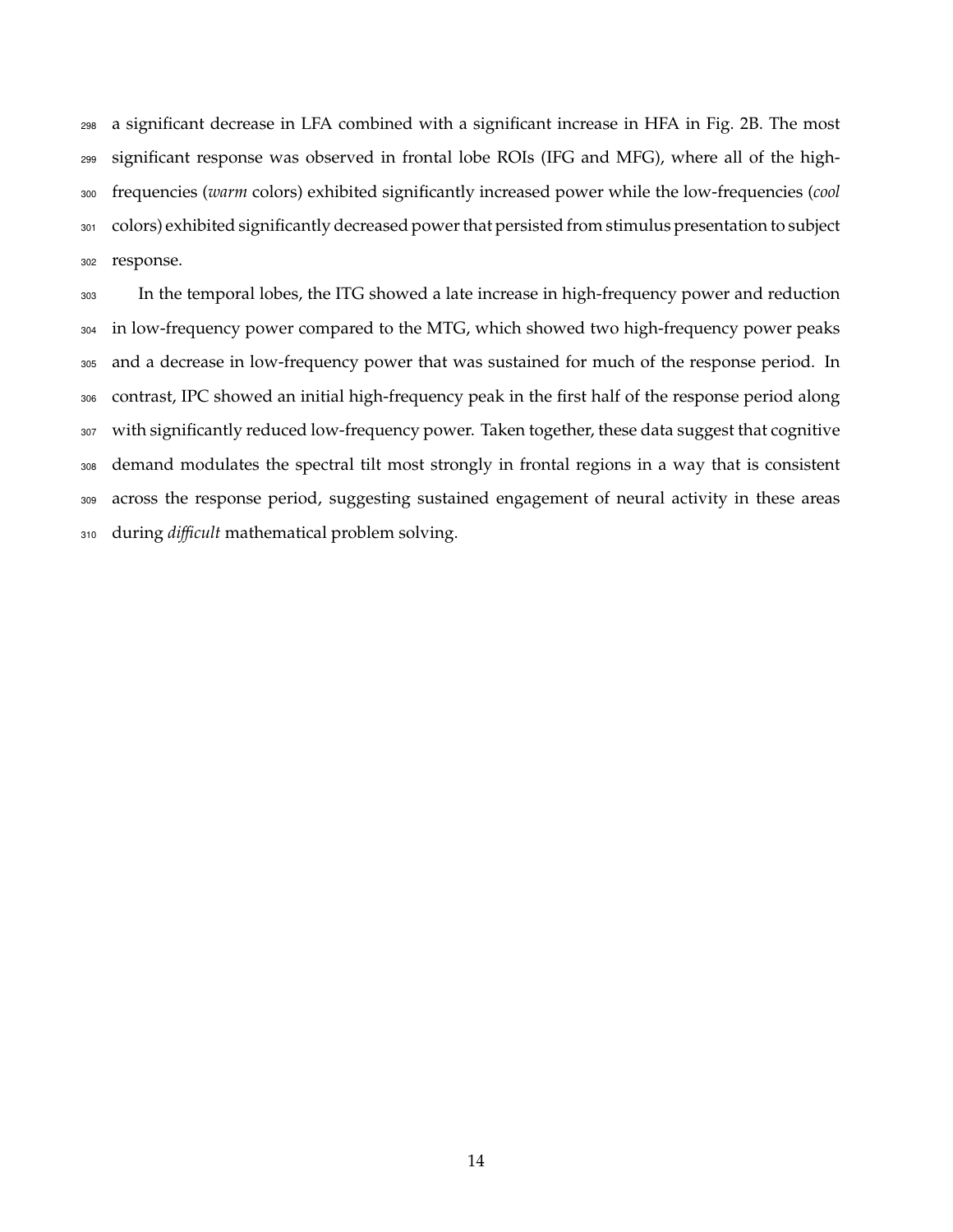a significant decrease in LFA combined with a significant increase in HFA in Fig. 2B. The most significant response was observed in frontal lobe ROIs (IFG and MFG), where all of the high- frequencies (*warm* colors) exhibited significantly increased power while the low-frequencies (*cool* colors) exhibited significantly decreased power that persisted from stimulus presentation to subject response.

 In the temporal lobes, the ITG showed a late increase in high-frequency power and reduction in low-frequency power compared to the MTG, which showed two high-frequency power peaks and a decrease in low-frequency power that was sustained for much of the response period. In contrast, IPC showed an initial high-frequency peak in the first half of the response period along with significantly reduced low-frequency power. Taken together, these data suggest that cognitive demand modulates the spectral tilt most strongly in frontal regions in a way that is consistent across the response period, suggesting sustained engagement of neural activity in these areas during *dicult* mathematical problem solving.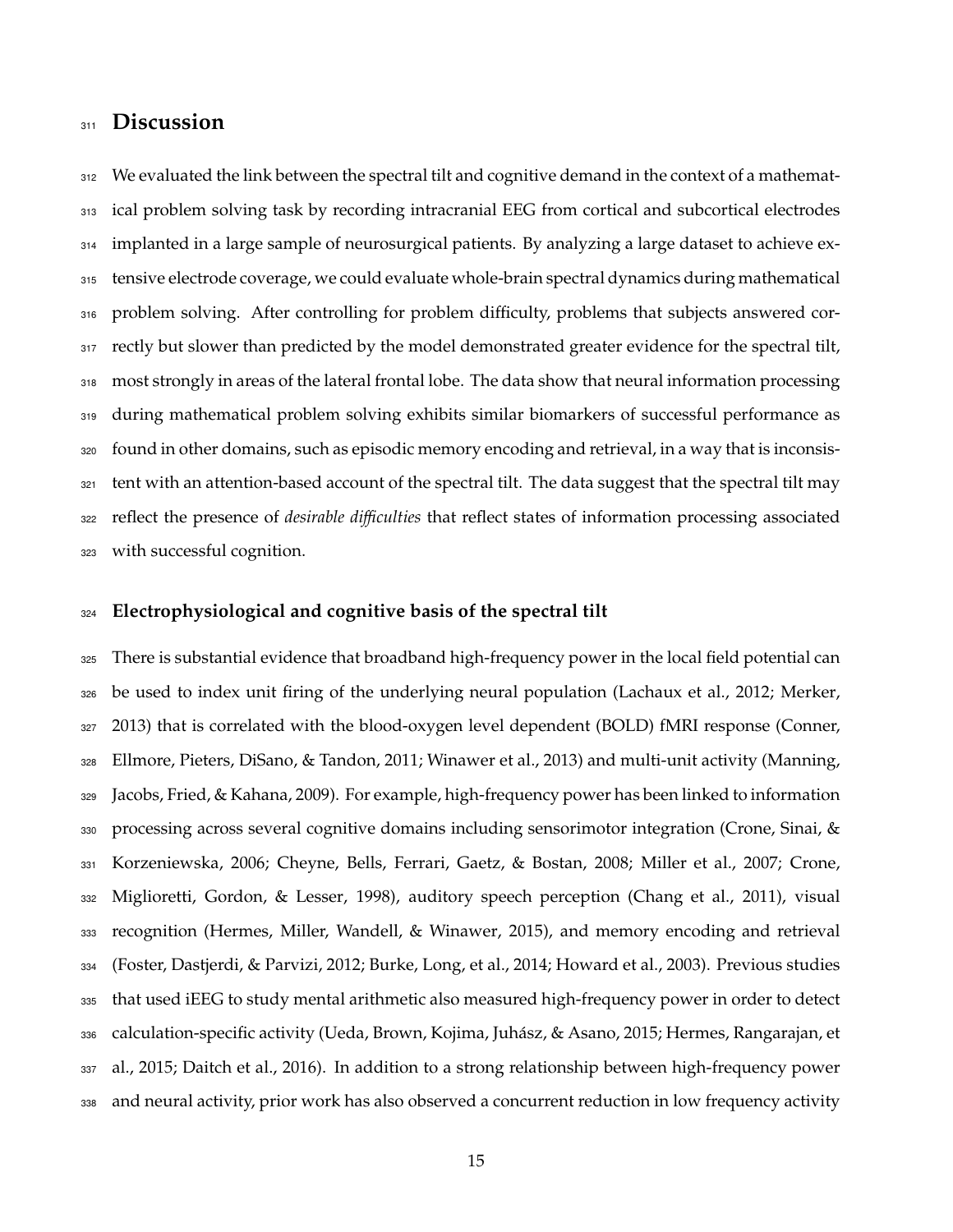## **Discussion**

312 We evaluated the link between the spectral tilt and cognitive demand in the context of a mathemat-313 ical problem solving task by recording intracranial EEG from cortical and subcortical electrodes implanted in a large sample of neurosurgical patients. By analyzing a large dataset to achieve ex- tensive electrode coverage, we could evaluate whole-brain spectral dynamics during mathematical 316 problem solving. After controlling for problem difficulty, problems that subjects answered cor-317 rectly but slower than predicted by the model demonstrated greater evidence for the spectral tilt, most strongly in areas of the lateral frontal lobe. The data show that neural information processing during mathematical problem solving exhibits similar biomarkers of successful performance as found in other domains, such as episodic memory encoding and retrieval, in a way that is inconsis- tent with an attention-based account of the spectral tilt. The data suggest that the spectral tilt may reflect the presence of *desirable diculties* that reflect states of information processing associated with successful cognition.

### **Electrophysiological and cognitive basis of the spectral tilt**

 There is substantial evidence that broadband high-frequency power in the local field potential can be used to index unit firing of the underlying neural population (Lachaux et al., 2012; Merker, 327 2013) that is correlated with the blood-oxygen level dependent (BOLD) fMRI response (Conner, Ellmore, Pieters, DiSano, & Tandon, 2011; Winawer et al., 2013) and multi-unit activity (Manning, Jacobs, Fried, & Kahana, 2009). For example, high-frequency power has been linked to information processing across several cognitive domains including sensorimotor integration (Crone, Sinai, & Korzeniewska, 2006; Cheyne, Bells, Ferrari, Gaetz, & Bostan, 2008; Miller et al., 2007; Crone, Miglioretti, Gordon, & Lesser, 1998), auditory speech perception (Chang et al., 2011), visual recognition (Hermes, Miller, Wandell, & Winawer, 2015), and memory encoding and retrieval (Foster, Dastjerdi, & Parvizi, 2012; Burke, Long, et al., 2014; Howard et al., 2003). Previous studies that used iEEG to study mental arithmetic also measured high-frequency power in order to detect 336 calculation-specific activity (Ueda, Brown, Kojima, Juhász, & Asano, 2015; Hermes, Rangarajan, et al., 2015; Daitch et al., 2016). In addition to a strong relationship between high-frequency power and neural activity, prior work has also observed a concurrent reduction in low frequency activity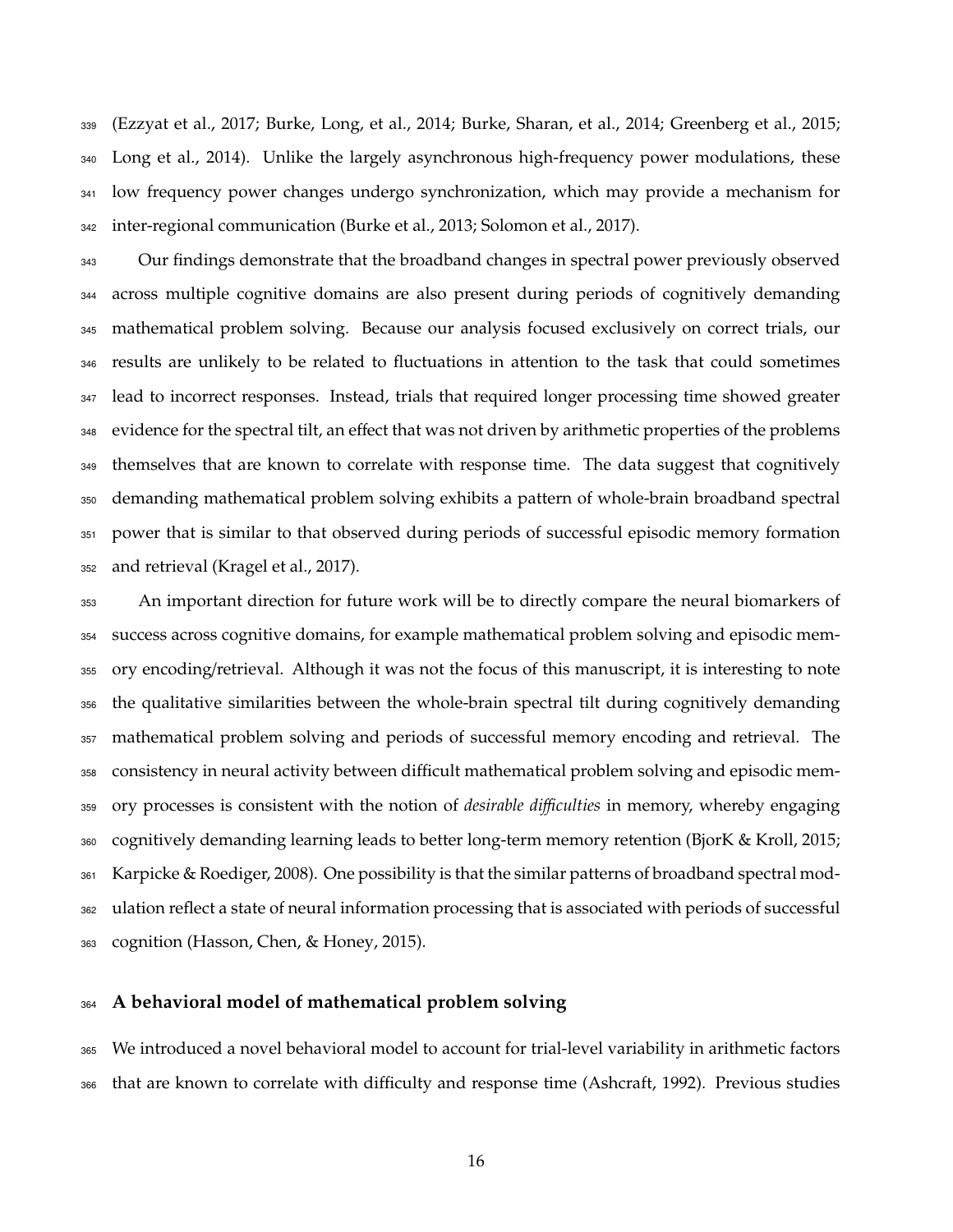(Ezzyat et al., 2017; Burke, Long, et al., 2014; Burke, Sharan, et al., 2014; Greenberg et al., 2015; Long et al., 2014). Unlike the largely asynchronous high-frequency power modulations, these low frequency power changes undergo synchronization, which may provide a mechanism for inter-regional communication (Burke et al., 2013; Solomon et al., 2017).

<sup>343</sup> Our findings demonstrate that the broadband changes in spectral power previously observed across multiple cognitive domains are also present during periods of cognitively demanding mathematical problem solving. Because our analysis focused exclusively on correct trials, our results are unlikely to be related to fluctuations in attention to the task that could sometimes lead to incorrect responses. Instead, trials that required longer processing time showed greater 348 evidence for the spectral tilt, an effect that was not driven by arithmetic properties of the problems themselves that are known to correlate with response time. The data suggest that cognitively demanding mathematical problem solving exhibits a pattern of whole-brain broadband spectral power that is similar to that observed during periods of successful episodic memory formation and retrieval (Kragel et al., 2017).

 An important direction for future work will be to directly compare the neural biomarkers of success across cognitive domains, for example mathematical problem solving and episodic mem- ory encoding/retrieval. Although it was not the focus of this manuscript, it is interesting to note the qualitative similarities between the whole-brain spectral tilt during cognitively demanding mathematical problem solving and periods of successful memory encoding and retrieval. The consistency in neural activity between difficult mathematical problem solving and episodic mem- ory processes is consistent with the notion of *desirable diculties* in memory, whereby engaging cognitively demanding learning leads to better long-term memory retention (BjorK & Kroll, 2015; Karpicke & Roediger, 2008). One possibility is that the similar patterns of broadband spectral mod- ulation reflect a state of neural information processing that is associated with periods of successful 363 cognition (Hasson, Chen, & Honey, 2015).

#### **A behavioral model of mathematical problem solving**

 We introduced a novel behavioral model to account for trial-level variability in arithmetic factors 366 that are known to correlate with difficulty and response time (Ashcraft, 1992). Previous studies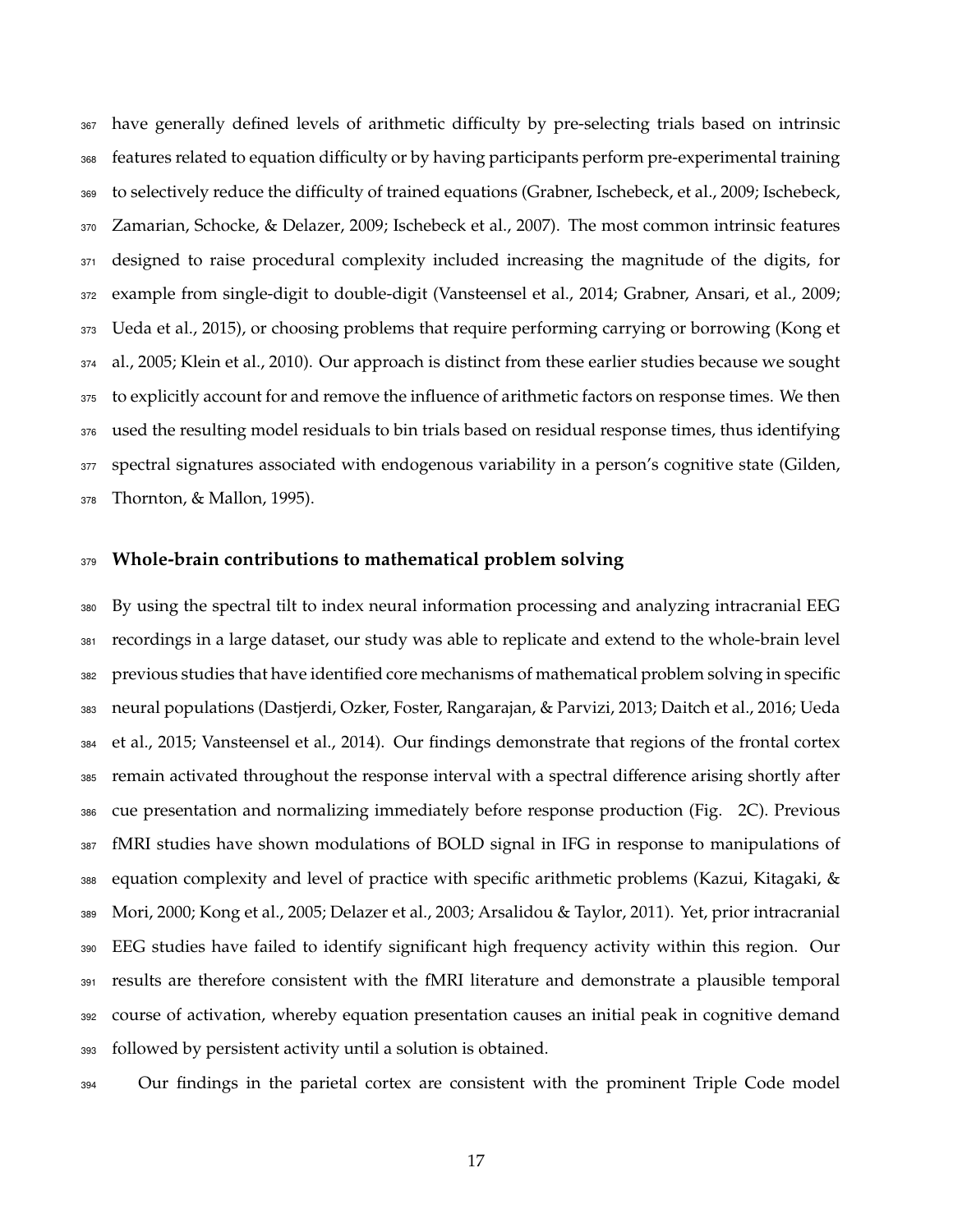367 have generally defined levels of arithmetic difficulty by pre-selecting trials based on intrinsic 368 features related to equation difficulty or by having participants perform pre-experimental training 369 to selectively reduce the difficulty of trained equations (Grabner, Ischebeck, et al., 2009; Ischebeck, Zamarian, Schocke, & Delazer, 2009; Ischebeck et al., 2007). The most common intrinsic features 371 designed to raise procedural complexity included increasing the magnitude of the digits, for example from single-digit to double-digit (Vansteensel et al., 2014; Grabner, Ansari, et al., 2009; Ueda et al., 2015), or choosing problems that require performing carrying or borrowing (Kong et al., 2005; Klein et al., 2010). Our approach is distinct from these earlier studies because we sought to explicitly account for and remove the influence of arithmetic factors on response times. We then used the resulting model residuals to bin trials based on residual response times, thus identifying spectral signatures associated with endogenous variability in a person's cognitive state (Gilden, Thornton, & Mallon, 1995).

#### **Whole-brain contributions to mathematical problem solving**

 By using the spectral tilt to index neural information processing and analyzing intracranial EEG recordings in a large dataset, our study was able to replicate and extend to the whole-brain level previous studies that have identified core mechanisms of mathematical problem solving in specific neural populations (Dastjerdi, Ozker, Foster, Rangarajan, & Parvizi, 2013; Daitch et al., 2016; Ueda et al., 2015; Vansteensel et al., 2014). Our findings demonstrate that regions of the frontal cortex 385 remain activated throughout the response interval with a spectral difference arising shortly after cue presentation and normalizing immediately before response production (Fig. 2C). Previous fMRI studies have shown modulations of BOLD signal in IFG in response to manipulations of equation complexity and level of practice with specific arithmetic problems (Kazui, Kitagaki, & Mori, 2000; Kong et al., 2005; Delazer et al., 2003; Arsalidou & Taylor, 2011). Yet, prior intracranial EEG studies have failed to identify significant high frequency activity within this region. Our results are therefore consistent with the fMRI literature and demonstrate a plausible temporal course of activation, whereby equation presentation causes an initial peak in cognitive demand followed by persistent activity until a solution is obtained.

<sup>394</sup> Our findings in the parietal cortex are consistent with the prominent Triple Code model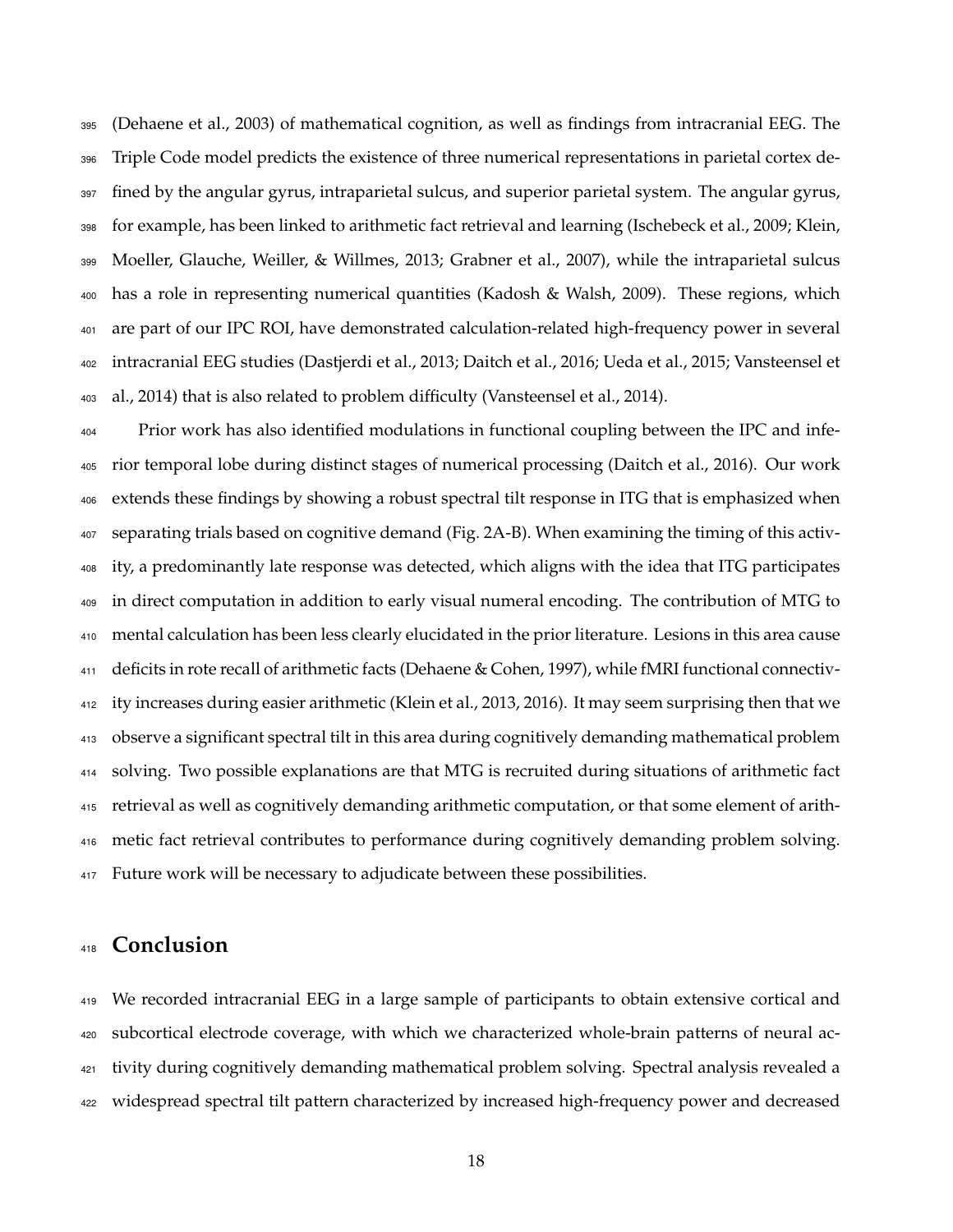(Dehaene et al., 2003) of mathematical cognition, as well as findings from intracranial EEG. The Triple Code model predicts the existence of three numerical representations in parietal cortex de- fined by the angular gyrus, intraparietal sulcus, and superior parietal system. The angular gyrus, for example, has been linked to arithmetic fact retrieval and learning (Ischebeck et al., 2009; Klein, Moeller, Glauche, Weiller, & Willmes, 2013; Grabner et al., 2007), while the intraparietal sulcus has a role in representing numerical quantities (Kadosh & Walsh, 2009). These regions, which are part of our IPC ROI, have demonstrated calculation-related high-frequency power in several intracranial EEG studies (Dastjerdi et al., 2013; Daitch et al., 2016; Ueda et al., 2015; Vansteensel et al., 2014) that is also related to problem difficulty (Vansteensel et al., 2014).

<sup>404</sup> Prior work has also identified modulations in functional coupling between the IPC and infe- rior temporal lobe during distinct stages of numerical processing (Daitch et al., 2016). Our work extends these findings by showing a robust spectral tilt response in ITG that is emphasized when separating trials based on cognitive demand (Fig. 2A-B). When examining the timing of this activ- ity, a predominantly late response was detected, which aligns with the idea that ITG participates in direct computation in addition to early visual numeral encoding. The contribution of MTG to mental calculation has been less clearly elucidated in the prior literature. Lesions in this area cause deficits in rote recall of arithmetic facts (Dehaene & Cohen, 1997), while fMRI functional connectiv- ity increases during easier arithmetic (Klein et al., 2013, 2016). It may seem surprising then that we observe a significant spectral tilt in this area during cognitively demanding mathematical problem solving. Two possible explanations are that MTG is recruited during situations of arithmetic fact retrieval as well as cognitively demanding arithmetic computation, or that some element of arith- metic fact retrieval contributes to performance during cognitively demanding problem solving. 417 Future work will be necessary to adjudicate between these possibilities.

## **Conclusion**

 We recorded intracranial EEG in a large sample of participants to obtain extensive cortical and subcortical electrode coverage, with which we characterized whole-brain patterns of neural ac- tivity during cognitively demanding mathematical problem solving. Spectral analysis revealed a widespread spectral tilt pattern characterized by increased high-frequency power and decreased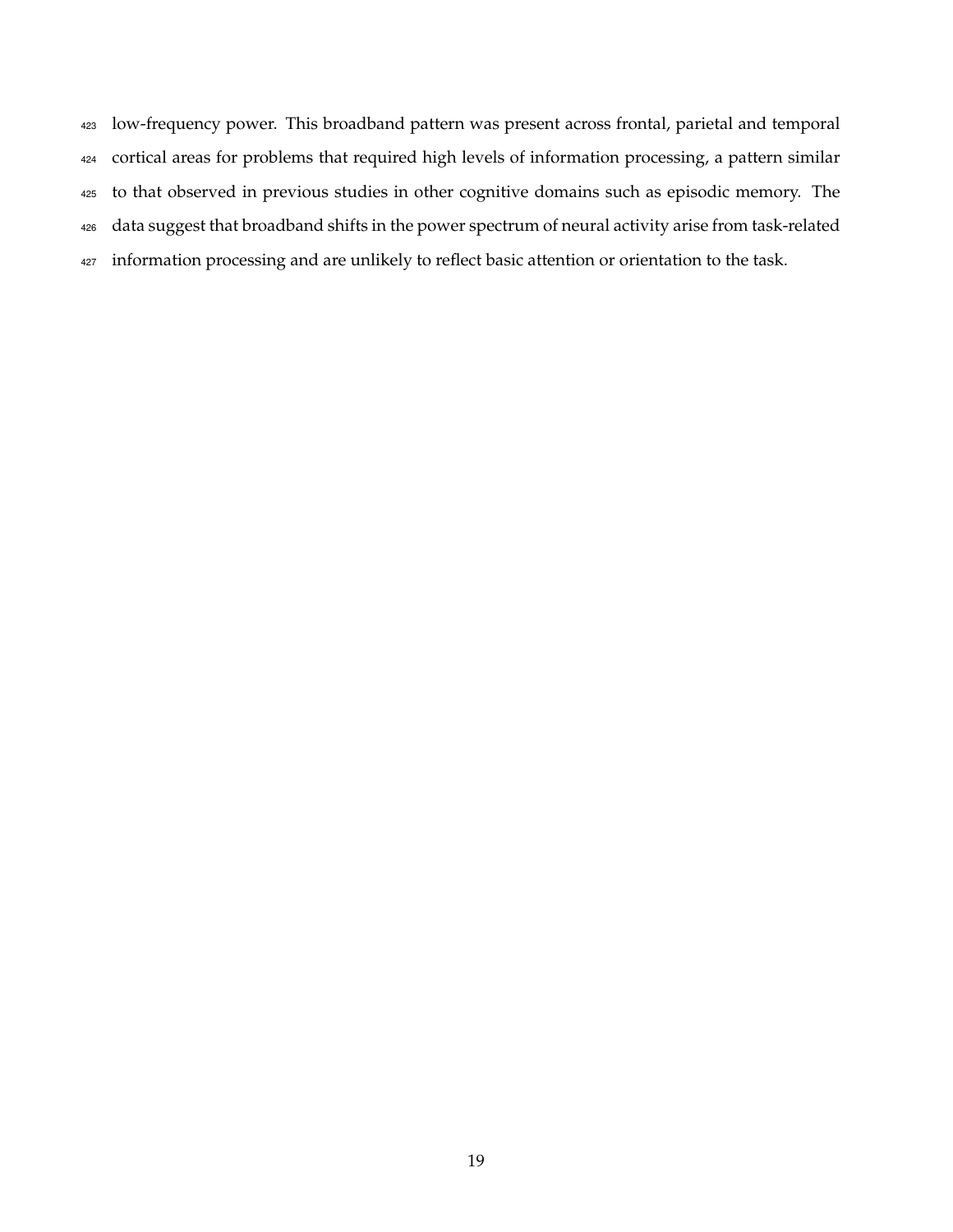low-frequency power. This broadband pattern was present across frontal, parietal and temporal cortical areas for problems that required high levels of information processing, a pattern similar to that observed in previous studies in other cognitive domains such as episodic memory. The data suggest that broadband shifts in the power spectrum of neural activity arise from task-related 427 information processing and are unlikely to reflect basic attention or orientation to the task.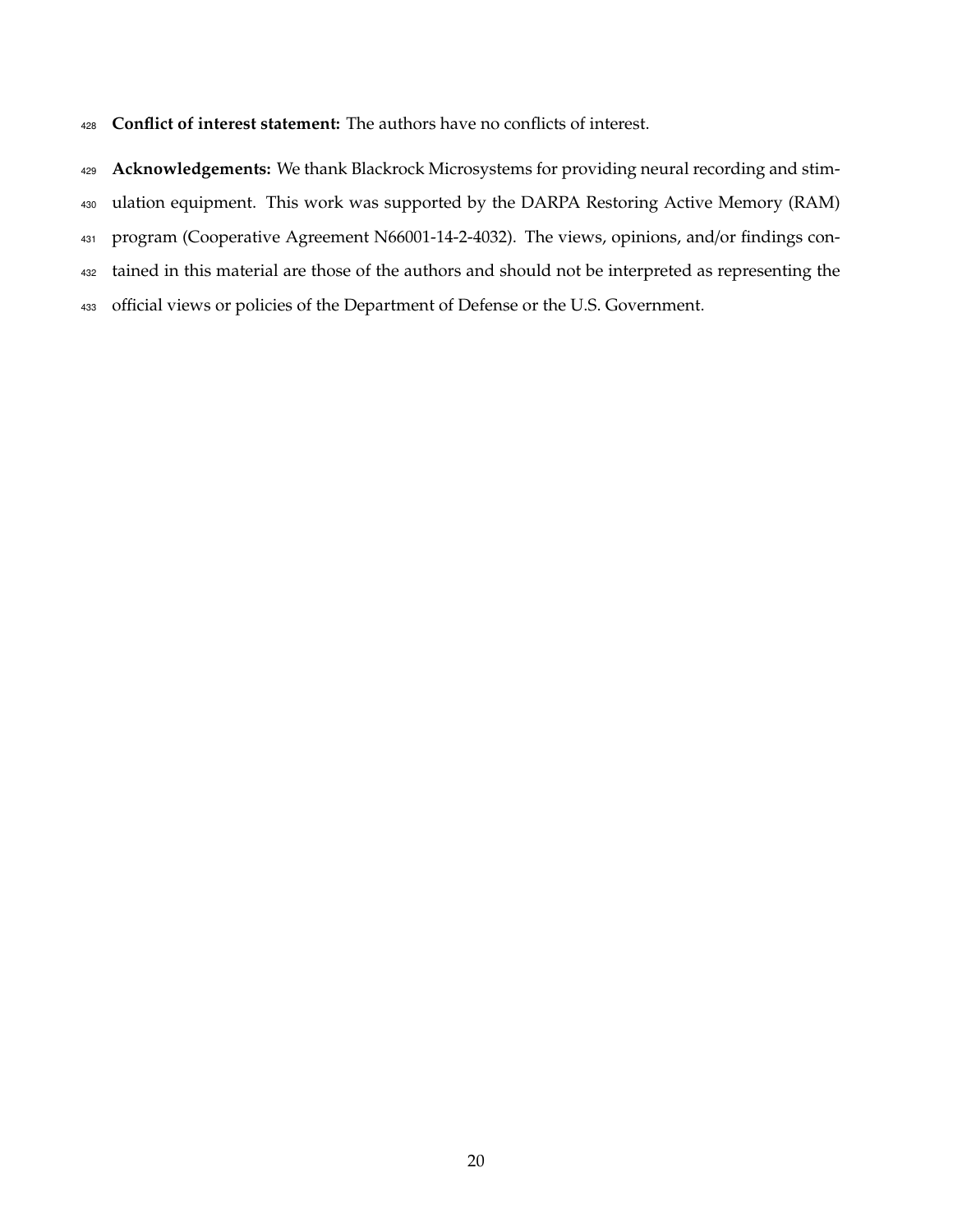**Conflict of interest statement:** The authors have no conflicts of interest.

**Acknowledgements:** We thank Blackrock Microsystems for providing neural recording and stim-

ulation equipment. This work was supported by the DARPA Restoring Active Memory (RAM)

program (Cooperative Agreement N66001-14-2-4032). The views, opinions, and/or findings con-

tained in this material are those of the authors and should not be interpreted as representing the

433 official views or policies of the Department of Defense or the U.S. Government.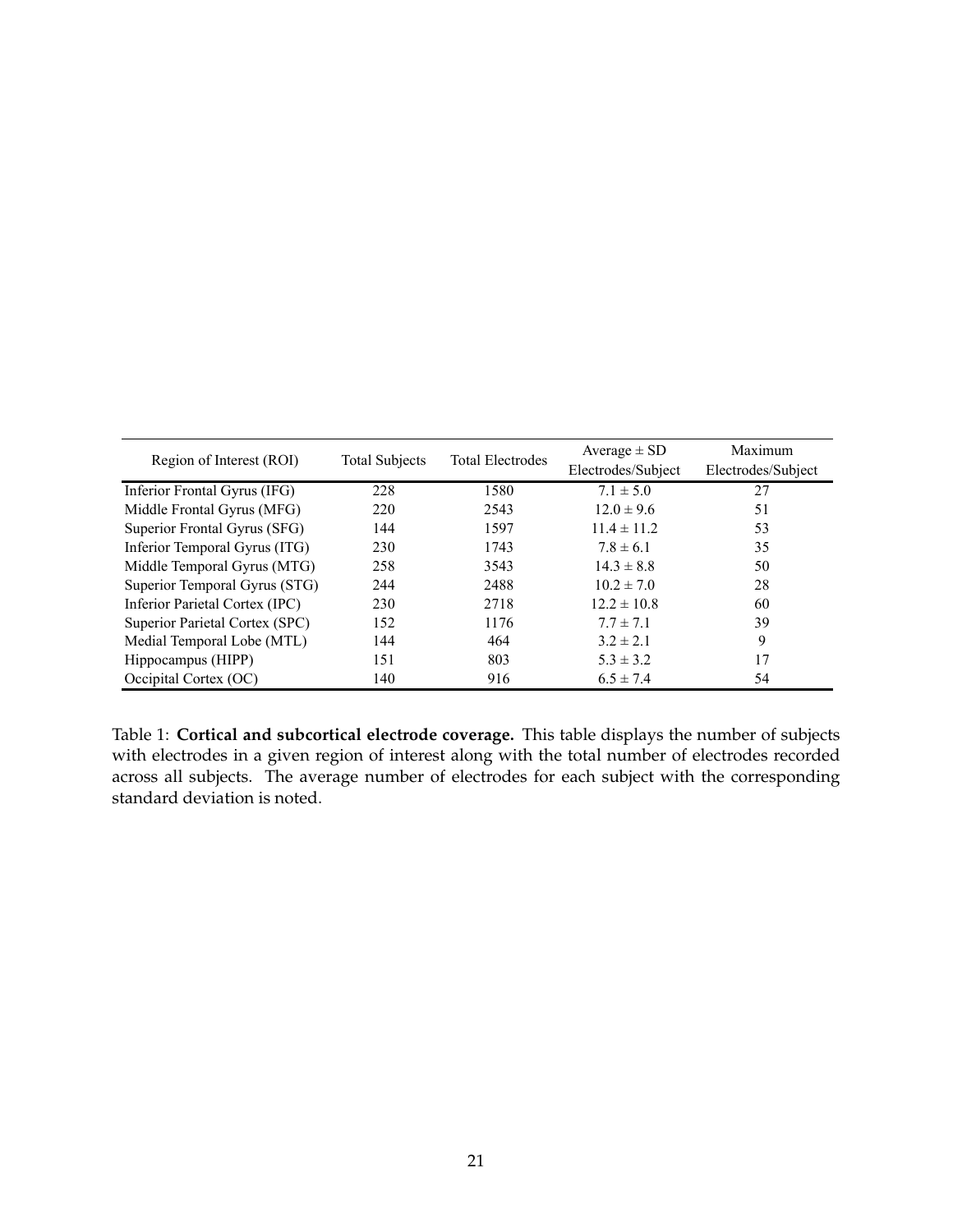| Region of Interest (ROI)       | <b>Total Subjects</b> | <b>Total Electrodes</b> | Average $\pm$ SD   | Maximum            |
|--------------------------------|-----------------------|-------------------------|--------------------|--------------------|
|                                |                       |                         | Electrodes/Subject | Electrodes/Subject |
| Inferior Frontal Gyrus (IFG)   | 228                   | 1580                    | $7.1 \pm 5.0$      | 27                 |
| Middle Frontal Gyrus (MFG)     | 220                   | 2543                    | $12.0 \pm 9.6$     | 51                 |
| Superior Frontal Gyrus (SFG)   | 144                   | 1597                    | $11.4 \pm 11.2$    | 53                 |
| Inferior Temporal Gyrus (ITG)  | 230                   | 1743                    | $7.8 \pm 6.1$      | 35                 |
| Middle Temporal Gyrus (MTG)    | 258                   | 3543                    | $14.3 \pm 8.8$     | 50                 |
| Superior Temporal Gyrus (STG)  | 244                   | 2488                    | $10.2 \pm 7.0$     | 28                 |
| Inferior Parietal Cortex (IPC) | 230                   | 2718                    | $12.2 \pm 10.8$    | 60                 |
| Superior Parietal Cortex (SPC) | 152                   | 1176                    | $7.7 \pm 7.1$      | 39                 |
| Medial Temporal Lobe (MTL)     | 144                   | 464                     | $3.2 \pm 2.1$      | 9                  |
| Hippocampus (HIPP)             | 151                   | 803                     | $5.3 \pm 3.2$      | 17                 |
| Occipital Cortex (OC)          | 140                   | 916                     | $6.5 \pm 7.4$      | 54                 |

Table 1: **Cortical and subcortical electrode coverage.** This table displays the number of subjects with electrodes in a given region of interest along with the total number of electrodes recorded across all subjects. The average number of electrodes for each subject with the corresponding standard deviation is noted.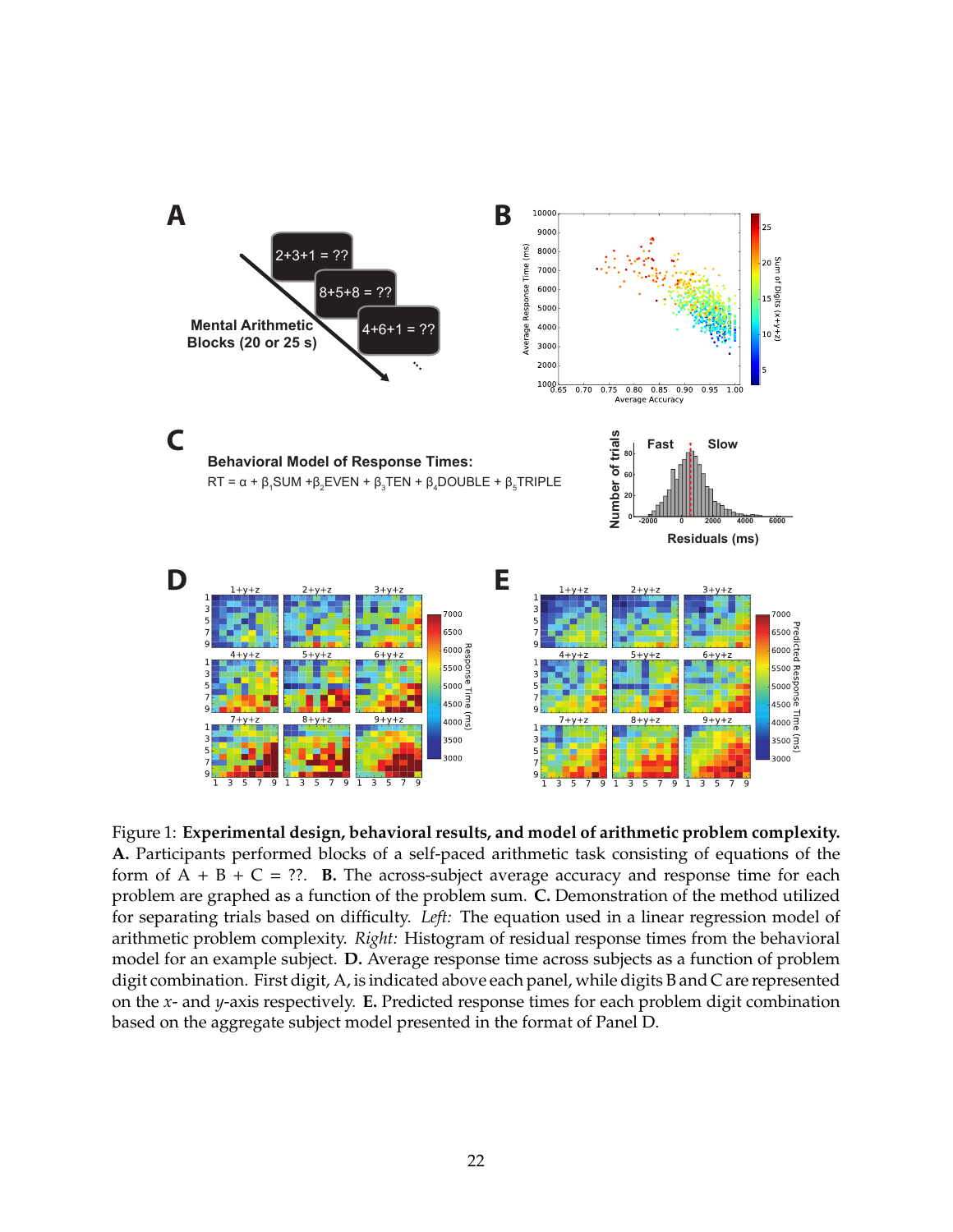

Figure 1: **Experimental design, behavioral results, and model of arithmetic problem complexity. A.** Participants performed blocks of a self-paced arithmetic task consisting of equations of the form of  $A + B + C = ?$ ?. **B.** The across-subject average accuracy and response time for each problem are graphed as a function of the problem sum. **C.** Demonstration of the method utilized for separating trials based on difficulty. *Left:* The equation used in a linear regression model of arithmetic problem complexity. *Right:* Histogram of residual response times from the behavioral model for an example subject. **D.** Average response time across subjects as a function of problem digit combination. First digit, A, is indicated above each panel, while digits B and C are represented on the *x*- and *y*-axis respectively. **E.** Predicted response times for each problem digit combination based on the aggregate subject model presented in the format of Panel D.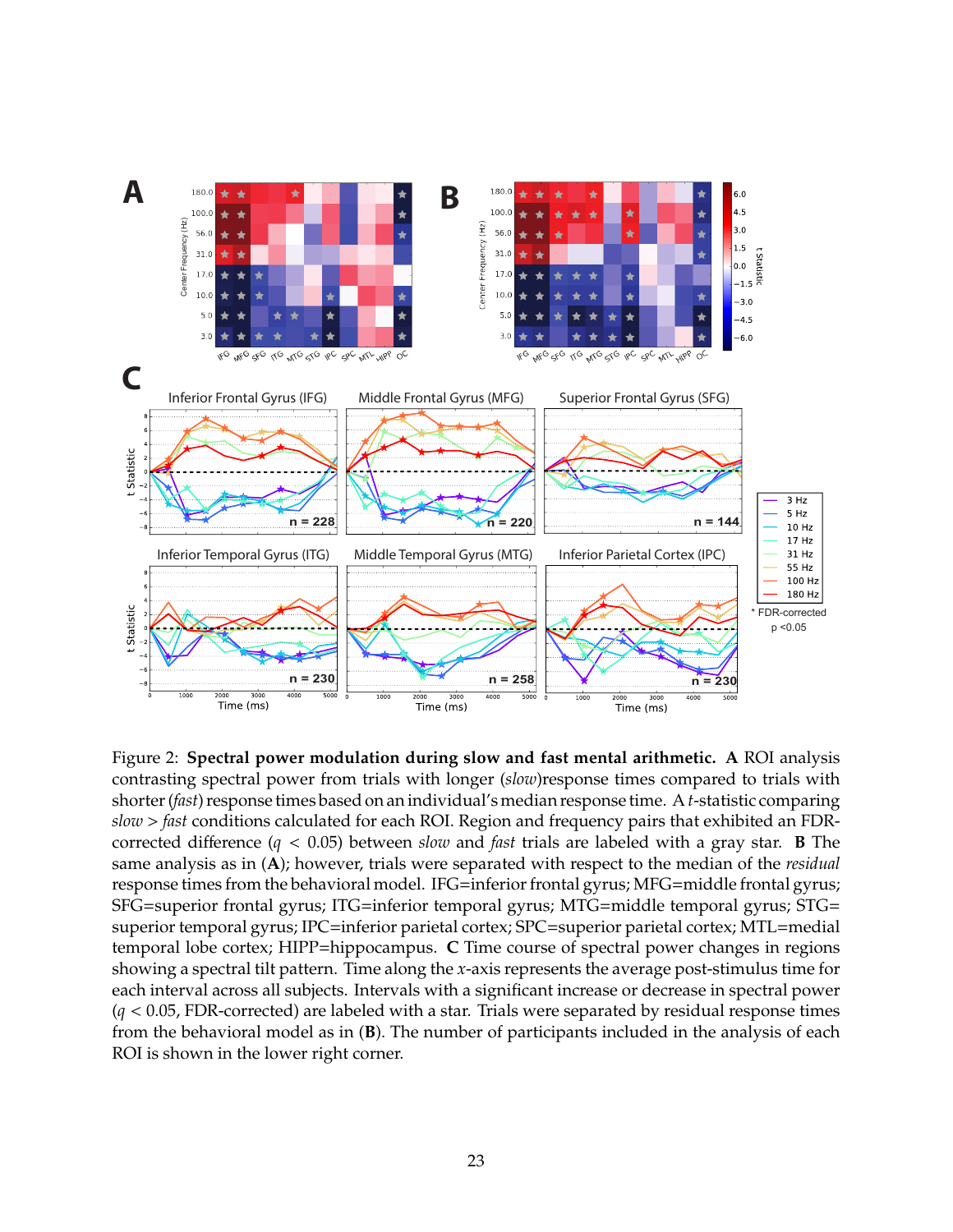

Figure 2: **Spectral power modulation during slow and fast mental arithmetic. A** ROI analysis contrasting spectral power from trials with longer (*slow*)response times compared to trials with shorter (*fast*) response times based on an individual's median response time. A*t*-statistic comparing *slow* > *fast* conditions calculated for each ROI. Region and frequency pairs that exhibited an FDRcorrected difference  $(q < 0.05)$  between *slow* and *fast* trials are labeled with a gray star. **B** The same analysis as in (**A**); however, trials were separated with respect to the median of the *residual* response times from the behavioral model. IFG=inferior frontal gyrus; MFG=middle frontal gyrus; SFG=superior frontal gyrus; ITG=inferior temporal gyrus; MTG=middle temporal gyrus; STG= superior temporal gyrus; IPC=inferior parietal cortex; SPC=superior parietal cortex; MTL=medial temporal lobe cortex; HIPP=hippocampus. **C** Time course of spectral power changes in regions showing a spectral tilt pattern. Time along the *x*-axis represents the average post-stimulus time for each interval across all subjects. Intervals with a significant increase or decrease in spectral power (*q* < 0.05, FDR-corrected) are labeled with a star. Trials were separated by residual response times from the behavioral model as in (**B**). The number of participants included in the analysis of each ROI is shown in the lower right corner.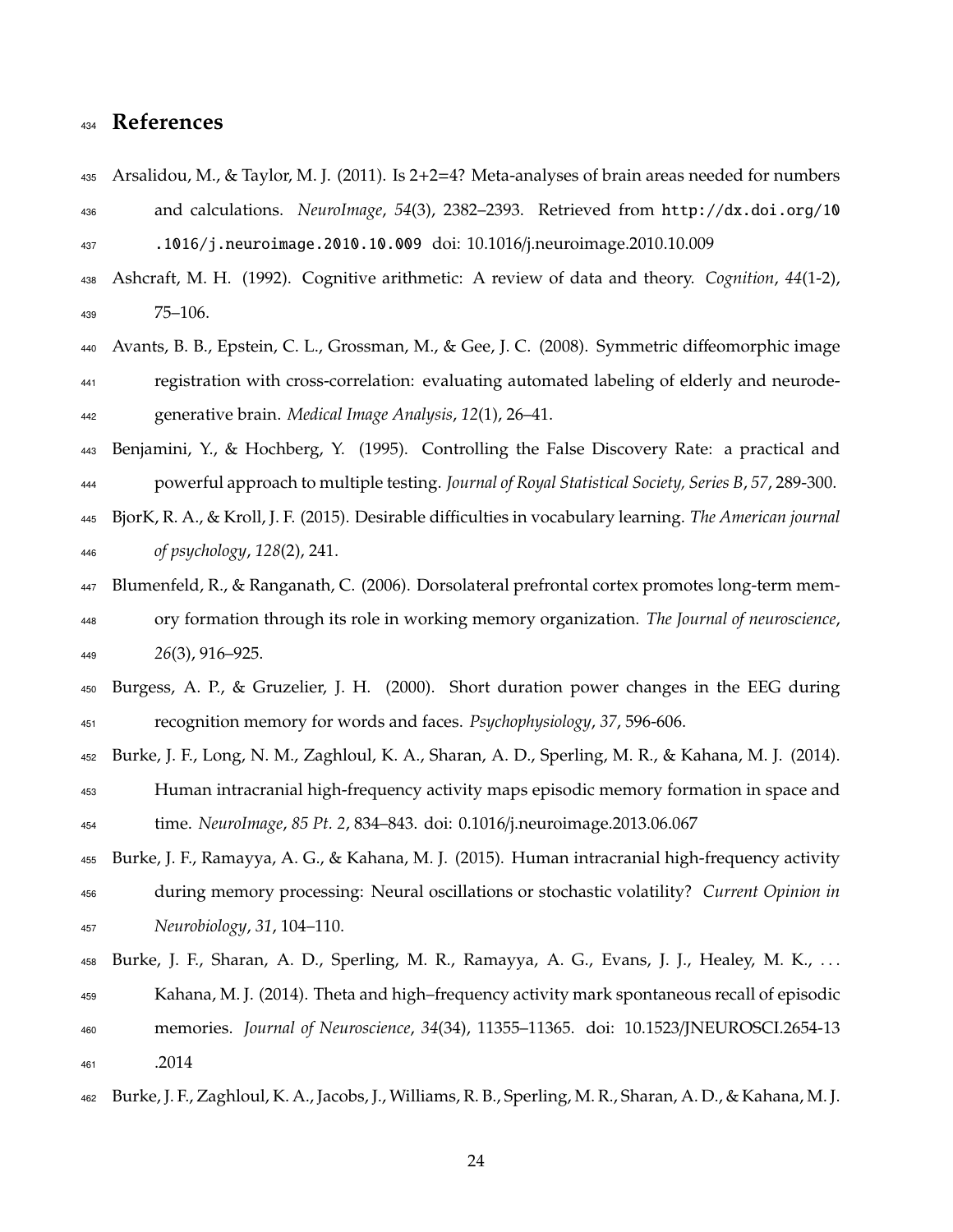# **References**

- Arsalidou, M., & Taylor, M. J. (2011). Is 2+2=4? Meta-analyses of brain areas needed for numbers and calculations. *NeuroImage*, *54*(3), 2382–2393. Retrieved from http://dx.doi.org/10 .1016/j.neuroimage.2010.10.009 doi: 10.1016/j.neuroimage.2010.10.009
- Ashcraft, M. H. (1992). Cognitive arithmetic: A review of data and theory. *Cognition*, *44*(1-2), 75–106.
- 440 Avants, B. B., Epstein, C. L., Grossman, M., & Gee, J. C. (2008). Symmetric diffeomorphic image registration with cross-correlation: evaluating automated labeling of elderly and neurode-generative brain. *Medical Image Analysis*, *12*(1), 26–41.
- Benjamini, Y., & Hochberg, Y. (1995). Controlling the False Discovery Rate: a practical and powerful approach to multiple testing. *Journal of Royal Statistical Society, Series B*, *57*, 289-300.
- BjorK, R. A., & Kroll, J. F. (2015). Desirable diculties in vocabulary learning. *The American journal of psychology*, *128*(2), 241.
- Blumenfeld, R., & Ranganath, C. (2006). Dorsolateral prefrontal cortex promotes long-term mem- ory formation through its role in working memory organization. *The Journal of neuroscience*, *26*(3), 916–925.
- Burgess, A. P., & Gruzelier, J. H. (2000). Short duration power changes in the EEG during recognition memory for words and faces. *Psychophysiology*, *37*, 596-606.
- Burke, J. F., Long, N. M., Zaghloul, K. A., Sharan, A. D., Sperling, M. R., & Kahana, M. J. (2014).
- Human intracranial high-frequency activity maps episodic memory formation in space and time. *NeuroImage*, *85 Pt. 2*, 834–843. doi: 0.1016/j.neuroimage.2013.06.067
- Burke, J. F., Ramayya, A. G., & Kahana, M. J. (2015). Human intracranial high-frequency activity during memory processing: Neural oscillations or stochastic volatility? *Current Opinion in Neurobiology*, *31*, 104–110.
- Burke, J. F., Sharan, A. D., Sperling, M. R., Ramayya, A. G., Evans, J. J., Healey, M. K., . . . Kahana, M. J. (2014). Theta and high–frequency activity mark spontaneous recall of episodic memories. *Journal of Neuroscience*, *34*(34), 11355–11365. doi: 10.1523/JNEUROSCI.2654-13 .2014
- Burke, J. F., Zaghloul, K. A., Jacobs, J., Williams, R. B., Sperling, M. R., Sharan, A. D., & Kahana, M. J.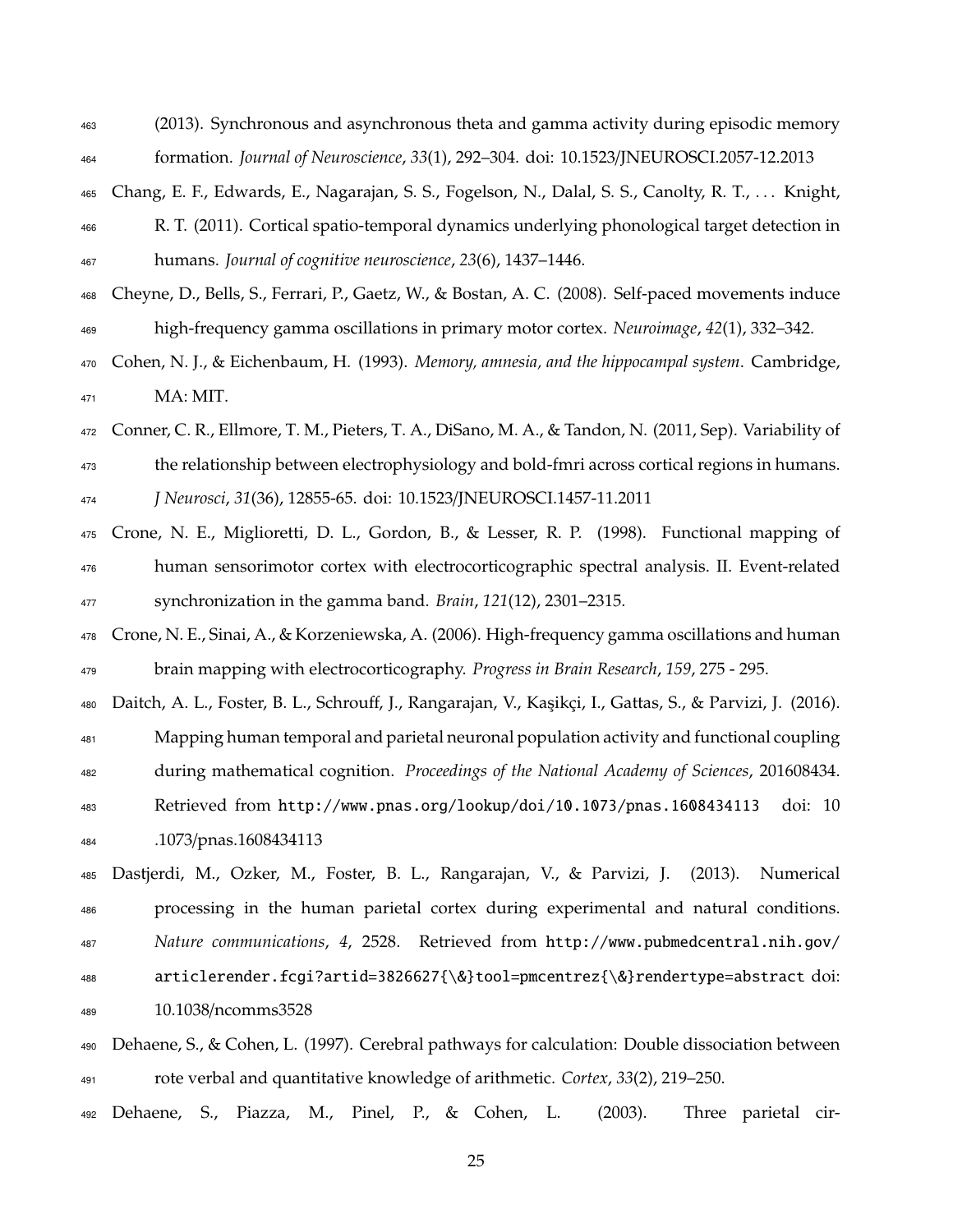- (2013). Synchronous and asynchronous theta and gamma activity during episodic memory formation. *Journal of Neuroscience*, *33*(1), 292–304. doi: 10.1523/JNEUROSCI.2057-12.2013
- Chang, E. F., Edwards, E., Nagarajan, S. S., Fogelson, N., Dalal, S. S., Canolty, R. T., . . . Knight, R. T. (2011). Cortical spatio-temporal dynamics underlying phonological target detection in humans. *Journal of cognitive neuroscience*, *23*(6), 1437–1446.
- Cheyne, D., Bells, S., Ferrari, P., Gaetz, W., & Bostan, A. C. (2008). Self-paced movements induce high-frequency gamma oscillations in primary motor cortex. *Neuroimage*, *42*(1), 332–342.
- Cohen, N. J., & Eichenbaum, H. (1993). *Memory, amnesia, and the hippocampal system*. Cambridge, MA: MIT.
- Conner, C. R., Ellmore, T. M., Pieters, T. A., DiSano, M. A., & Tandon, N. (2011, Sep). Variability of

<sup>473</sup> the relationship between electrophysiology and bold-fmri across cortical regions in humans. *J Neurosci*, *31*(36), 12855-65. doi: 10.1523/JNEUROSCI.1457-11.2011

- Crone, N. E., Miglioretti, D. L., Gordon, B., & Lesser, R. P. (1998). Functional mapping of human sensorimotor cortex with electrocorticographic spectral analysis. II. Event-related synchronization in the gamma band. *Brain*, *121*(12), 2301–2315.
- Crone, N. E., Sinai, A., & Korzeniewska, A. (2006). High-frequency gamma oscillations and human brain mapping with electrocorticography. *Progress in Brain Research*, *159*, 275 - 295.

480 Daitch, A. L., Foster, B. L., Schrouff, J., Rangarajan, V., Kaşikçi, I., Gattas, S., & Parvizi, J. (2016).

Mapping human temporal and parietal neuronal population activity and functional coupling

- during mathematical cognition. *Proceedings of the National Academy of Sciences*, 201608434.
- Retrieved from http://www.pnas.org/lookup/doi/10.1073/pnas.1608434113 doi: 10 .1073/pnas.1608434113

 Dastjerdi, M., Ozker, M., Foster, B. L., Rangarajan, V., & Parvizi, J. (2013). Numerical processing in the human parietal cortex during experimental and natural conditions. *Nature communications*, *4*, 2528. Retrieved from http://www.pubmedcentral.nih.gov/ articlerender.fcgi?artid=3826627{\&}tool=pmcentrez{\&}rendertype=abstract doi:

- 10.1038/ncomms3528
- Dehaene, S., & Cohen, L. (1997). Cerebral pathways for calculation: Double dissociation between rote verbal and quantitative knowledge of arithmetic. *Cortex*, *33*(2), 219–250.

Dehaene, S., Piazza, M., Pinel, P., & Cohen, L. (2003). Three parietal cir-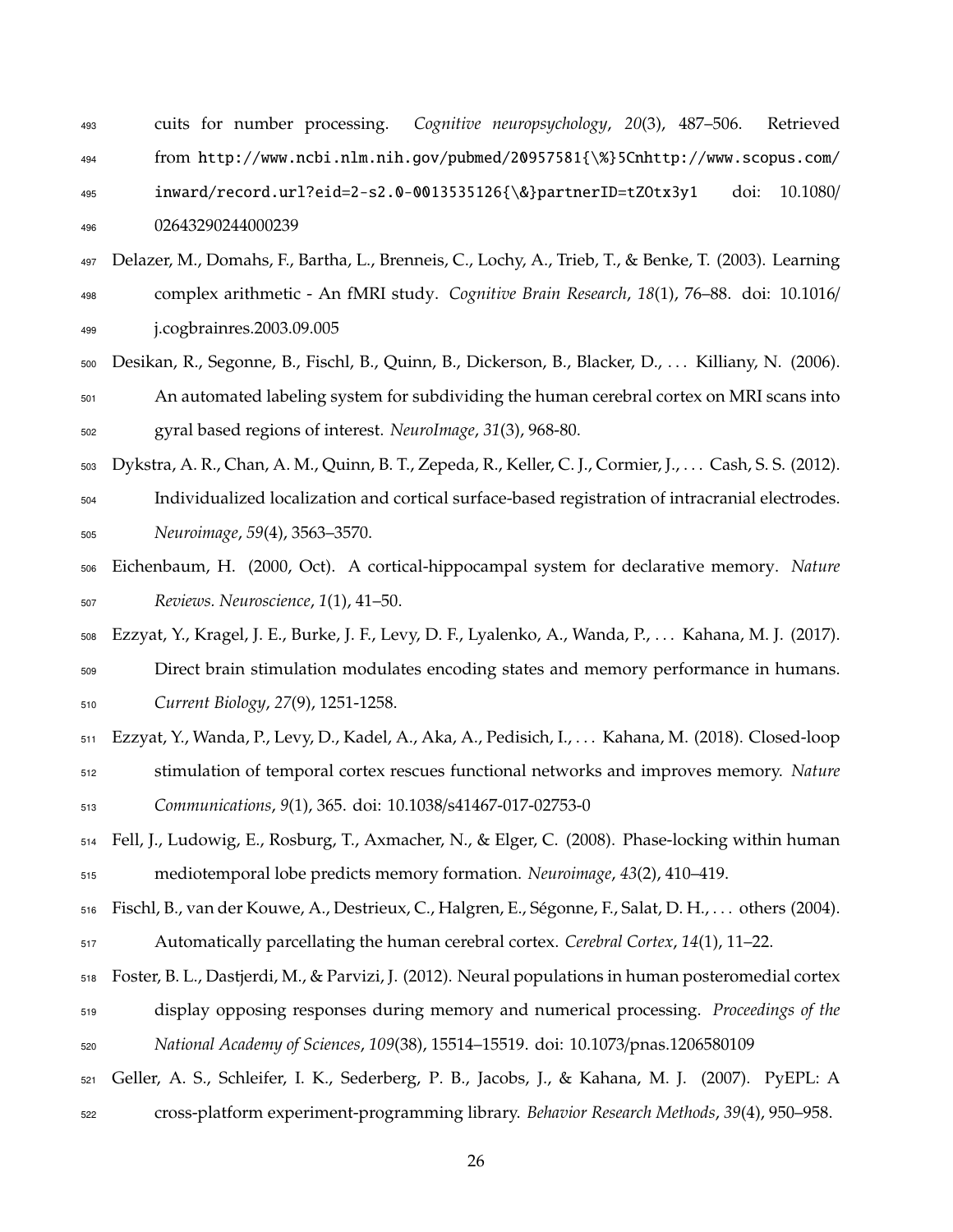| 493 | cuits for number processing. Cognitive neuropsychology, 20(3), 487–506. Retrieved |  |               |
|-----|-----------------------------------------------------------------------------------|--|---------------|
| 494 | from http://www.ncbi.nlm.nih.gov/pubmed/20957581{\%}5Cnhttp://www.scopus.com/     |  |               |
| 495 | inward/record.url?eid=2-s2.0-0013535126{\&}partnerID=tZ0tx3y1                     |  | doi: 10.1080/ |
| 496 | 02643290244000239                                                                 |  |               |

- Delazer, M., Domahs, F., Bartha, L., Brenneis, C., Lochy, A., Trieb, T., & Benke, T. (2003). Learning complex arithmetic - An fMRI study. *Cognitive Brain Research*, *18*(1), 76–88. doi: 10.1016/ j.cogbrainres.2003.09.005
- Desikan, R., Segonne, B., Fischl, B., Quinn, B., Dickerson, B., Blacker, D., . . . Killiany, N. (2006). An automated labeling system for subdividing the human cerebral cortex on MRI scans into gyral based regions of interest. *NeuroImage*, *31*(3), 968-80.
- Dykstra, A. R., Chan, A. M., Quinn, B. T., Zepeda, R., Keller, C. J., Cormier, J., . . . Cash, S. S. (2012).
- Individualized localization and cortical surface-based registration of intracranial electrodes. *Neuroimage*, *59*(4), 3563–3570.
- Eichenbaum, H. (2000, Oct). A cortical-hippocampal system for declarative memory. *Nature Reviews. Neuroscience*, *1*(1), 41–50.
- Ezzyat, Y., Kragel, J. E., Burke, J. F., Levy, D. F., Lyalenko, A., Wanda, P., . . . Kahana, M. J. (2017).
- Direct brain stimulation modulates encoding states and memory performance in humans. *Current Biology*, *27*(9), 1251-1258.
- Ezzyat, Y., Wanda, P., Levy, D., Kadel, A., Aka, A., Pedisich, I., . . . Kahana, M. (2018). Closed-loop
- stimulation of temporal cortex rescues functional networks and improves memory. *Nature Communications*, *9*(1), 365. doi: 10.1038/s41467-017-02753-0
- Fell, J., Ludowig, E., Rosburg, T., Axmacher, N., & Elger, C. (2008). Phase-locking within human mediotemporal lobe predicts memory formation. *Neuroimage*, *43*(2), 410–419.
- Fischl, B., van der Kouwe, A., Destrieux, C., Halgren, E., Segonne, F., Salat, D. H., . . . others (2004). ´ Automatically parcellating the human cerebral cortex. *Cerebral Cortex*, *14*(1), 11–22.
- Foster, B. L., Dastjerdi, M., & Parvizi, J. (2012). Neural populations in human posteromedial cortex display opposing responses during memory and numerical processing. *Proceedings of the National Academy of Sciences*, *109*(38), 15514–15519. doi: 10.1073/pnas.1206580109
- Geller, A. S., Schleifer, I. K., Sederberg, P. B., Jacobs, J., & Kahana, M. J. (2007). PyEPL: A
- cross-platform experiment-programming library. *Behavior Research Methods*, *39*(4), 950–958.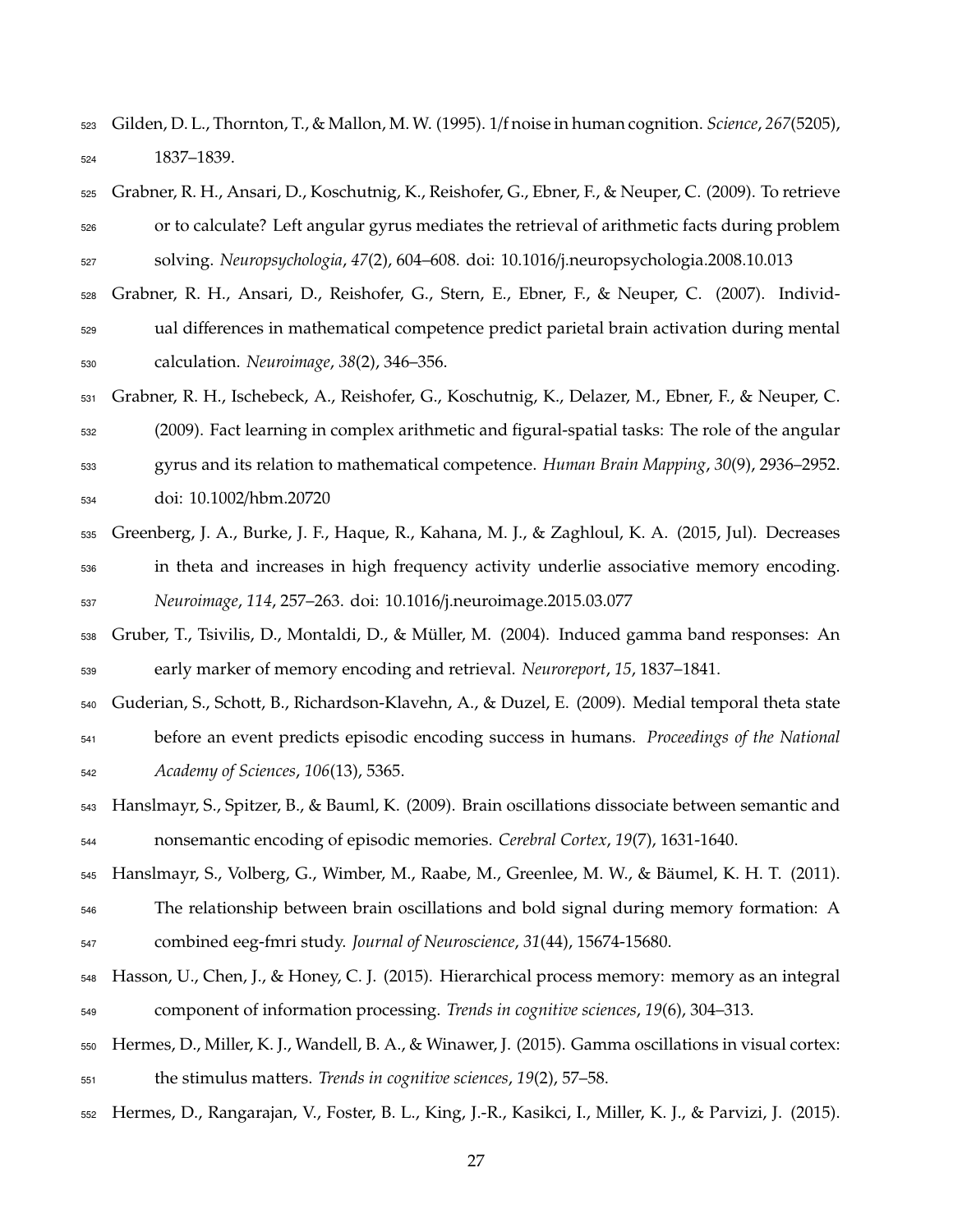- Gilden, D. L., Thornton, T., & Mallon, M. W. (1995). 1/f noise in human cognition. *Science*, *267*(5205), 1837–1839.
- Grabner, R. H., Ansari, D., Koschutnig, K., Reishofer, G., Ebner, F., & Neuper, C. (2009). To retrieve or to calculate? Left angular gyrus mediates the retrieval of arithmetic facts during problem solving. *Neuropsychologia*, *47*(2), 604–608. doi: 10.1016/j.neuropsychologia.2008.10.013
- Grabner, R. H., Ansari, D., Reishofer, G., Stern, E., Ebner, F., & Neuper, C. (2007). Individ-<sub>529</sub> ual differences in mathematical competence predict parietal brain activation during mental calculation. *Neuroimage*, *38*(2), 346–356.
- Grabner, R. H., Ischebeck, A., Reishofer, G., Koschutnig, K., Delazer, M., Ebner, F., & Neuper, C. (2009). Fact learning in complex arithmetic and figural-spatial tasks: The role of the angular gyrus and its relation to mathematical competence. *Human Brain Mapping*, *30*(9), 2936–2952. doi: 10.1002/hbm.20720
- Greenberg, J. A., Burke, J. F., Haque, R., Kahana, M. J., & Zaghloul, K. A. (2015, Jul). Decreases in theta and increases in high frequency activity underlie associative memory encoding. *Neuroimage*, *114*, 257–263. doi: 10.1016/j.neuroimage.2015.03.077
- Gruber, T., Tsivilis, D., Montaldi, D., & Muller, M. (2004). Induced gamma band responses: An ¨ early marker of memory encoding and retrieval. *Neuroreport*, *15*, 1837–1841.
- Guderian, S., Schott, B., Richardson-Klavehn, A., & Duzel, E. (2009). Medial temporal theta state before an event predicts episodic encoding success in humans. *Proceedings of the National*
- *Academy of Sciences*, *106*(13), 5365.
- Hanslmayr, S., Spitzer, B., & Bauml, K. (2009). Brain oscillations dissociate between semantic and nonsemantic encoding of episodic memories. *Cerebral Cortex*, *19*(7), 1631-1640.
- Hanslmayr, S., Volberg, G., Wimber, M., Raabe, M., Greenlee, M. W., & Baumel, K. H. T. (2011). ¨
- The relationship between brain oscillations and bold signal during memory formation: A combined eeg-fmri study. *Journal of Neuroscience*, *31*(44), 15674-15680.
- Hasson, U., Chen, J., & Honey, C. J. (2015). Hierarchical process memory: memory as an integral component of information processing. *Trends in cognitive sciences*, *19*(6), 304–313.
- Hermes, D., Miller, K. J., Wandell, B. A., & Winawer, J. (2015). Gamma oscillations in visual cortex: the stimulus matters. *Trends in cognitive sciences*, *19*(2), 57–58.
- Hermes, D., Rangarajan, V., Foster, B. L., King, J.-R., Kasikci, I., Miller, K. J., & Parvizi, J. (2015).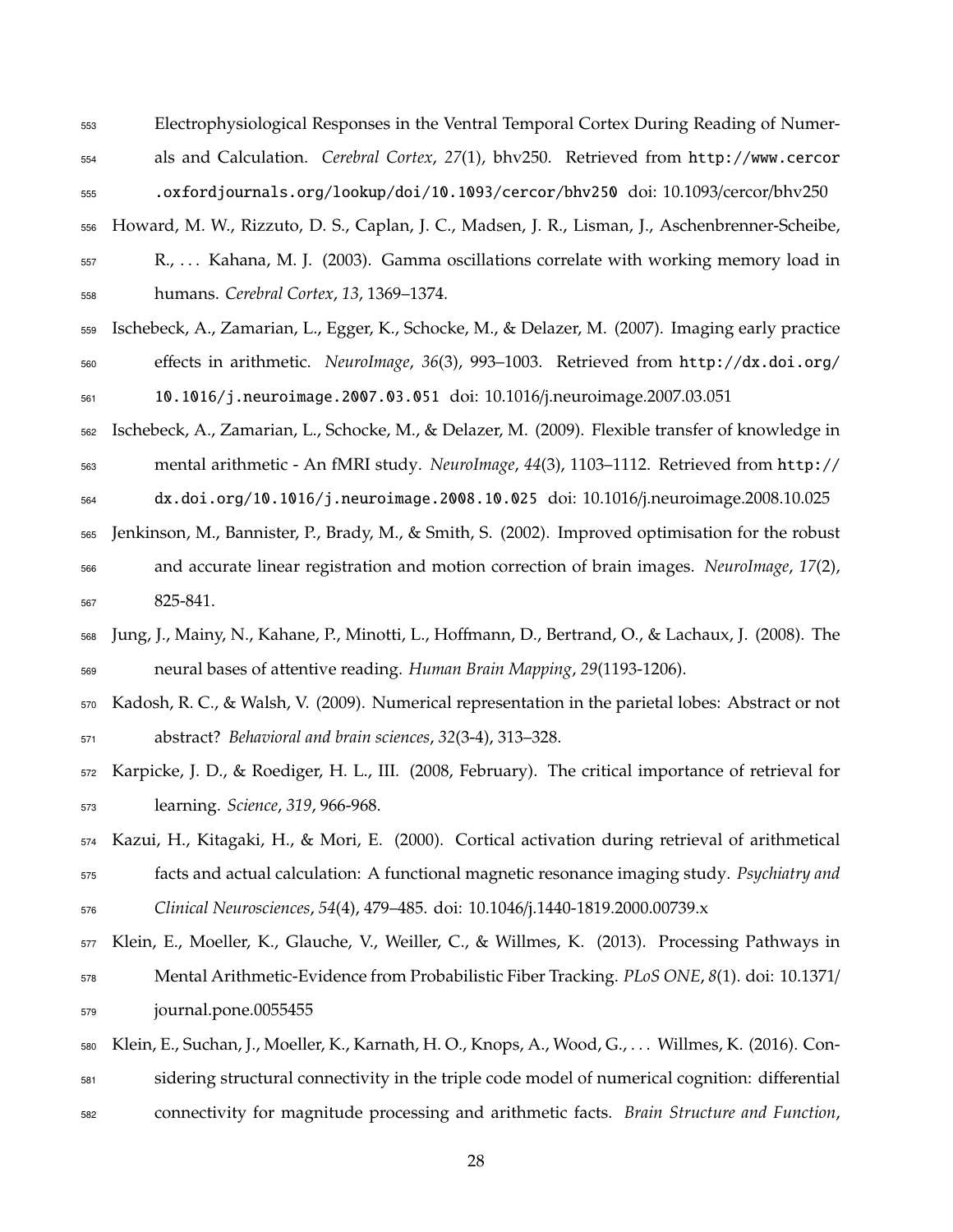Electrophysiological Responses in the Ventral Temporal Cortex During Reading of Numer-als and Calculation. *Cerebral Cortex*, *27*(1), bhv250. Retrieved from http://www.cercor

.oxfordjournals.org/lookup/doi/10.1093/cercor/bhv250 doi: 10.1093/cercor/bhv250

 Howard, M. W., Rizzuto, D. S., Caplan, J. C., Madsen, J. R., Lisman, J., Aschenbrenner-Scheibe, R., . . . Kahana, M. J. (2003). Gamma oscillations correlate with working memory load in humans. *Cerebral Cortex*, *13*, 1369–1374.

 Ischebeck, A., Zamarian, L., Egger, K., Schocke, M., & Delazer, M. (2007). Imaging early practice e↵ects in arithmetic. *NeuroImage*, *36*(3), 993–1003. Retrieved from http://dx.doi.org/ 10.1016/j.neuroimage.2007.03.051 doi: 10.1016/j.neuroimage.2007.03.051

 Ischebeck, A., Zamarian, L., Schocke, M., & Delazer, M. (2009). Flexible transfer of knowledge in mental arithmetic - An fMRI study. *NeuroImage*, *44*(3), 1103–1112. Retrieved from http://

 dx.doi.org/10.1016/j.neuroimage.2008.10.025 doi: 10.1016/j.neuroimage.2008.10.025 Jenkinson, M., Bannister, P., Brady, M., & Smith, S. (2002). Improved optimisation for the robust

- and accurate linear registration and motion correction of brain images. *NeuroImage*, *17*(2), 825-841.
- 568 Jung, J., Mainy, N., Kahane, P., Minotti, L., Hoffmann, D., Bertrand, O., & Lachaux, J. (2008). The neural bases of attentive reading. *Human Brain Mapping*, *29*(1193-1206).
- Kadosh, R. C., & Walsh, V. (2009). Numerical representation in the parietal lobes: Abstract or not abstract? *Behavioral and brain sciences*, *32*(3-4), 313–328.
- Karpicke, J. D., & Roediger, H. L., III. (2008, February). The critical importance of retrieval for learning. *Science*, *319*, 966-968.
- Kazui, H., Kitagaki, H., & Mori, E. (2000). Cortical activation during retrieval of arithmetical facts and actual calculation: A functional magnetic resonance imaging study. *Psychiatry and Clinical Neurosciences*, *54*(4), 479–485. doi: 10.1046/j.1440-1819.2000.00739.x
- Klein, E., Moeller, K., Glauche, V., Weiller, C., & Willmes, K. (2013). Processing Pathways in Mental Arithmetic-Evidence from Probabilistic Fiber Tracking. *PLoS ONE*, *8*(1). doi: 10.1371/ journal.pone.0055455
- Klein, E., Suchan, J., Moeller, K., Karnath, H. O., Knops, A., Wood, G., . . . Willmes, K. (2016). Con-581 sidering structural connectivity in the triple code model of numerical cognition: differential
- connectivity for magnitude processing and arithmetic facts. *Brain Structure and Function*,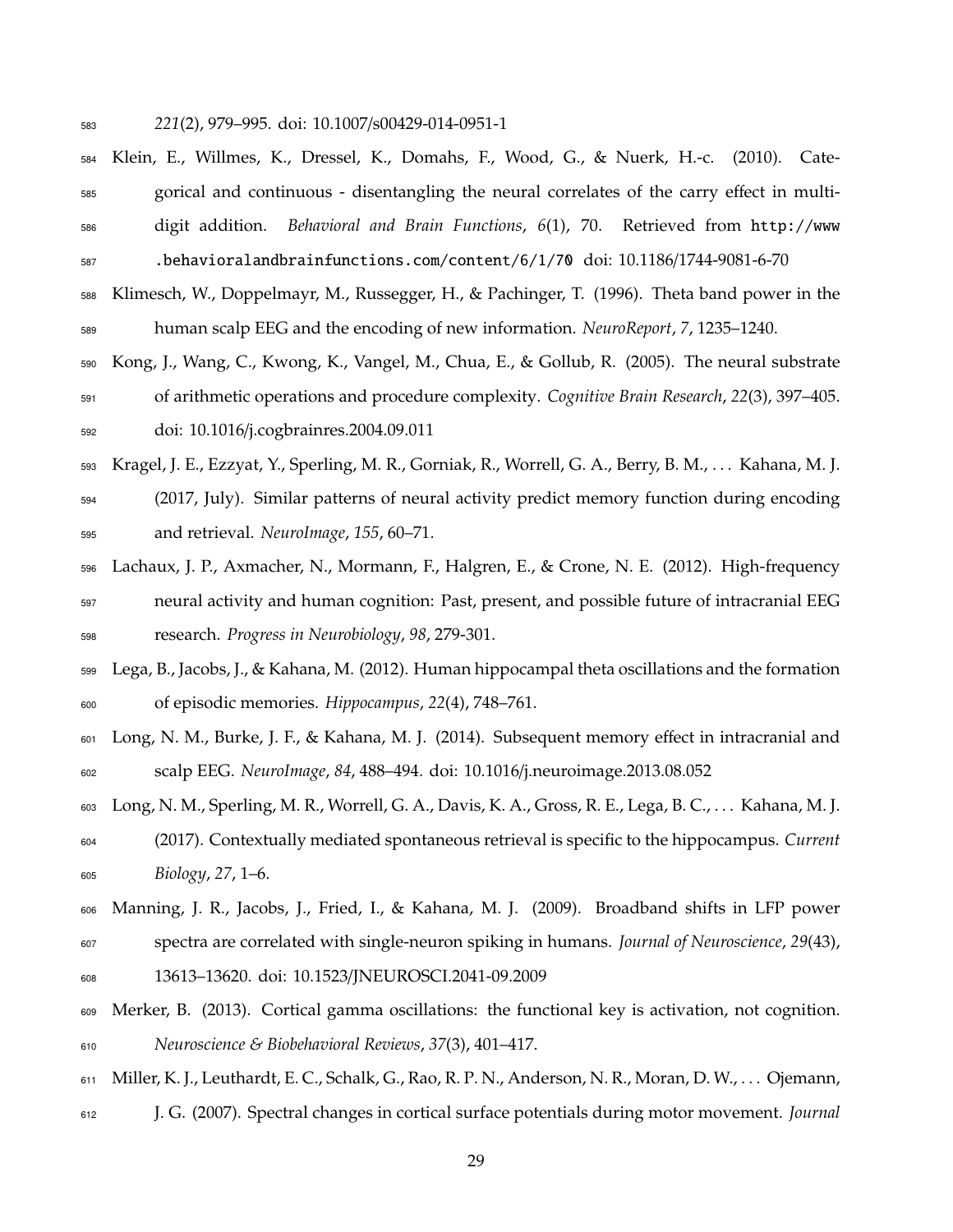- *221*(2), 979–995. doi: 10.1007/s00429-014-0951-1
- Klein, E., Willmes, K., Dressel, K., Domahs, F., Wood, G., & Nuerk, H.-c. (2010). Cate-585 gorical and continuous - disentangling the neural correlates of the carry effect in multi- digit addition. *Behavioral and Brain Functions*, *6*(1), 70. Retrieved from http://www .behavioralandbrainfunctions.com/content/6/1/70 doi: 10.1186/1744-9081-6-70
- Klimesch, W., Doppelmayr, M., Russegger, H., & Pachinger, T. (1996). Theta band power in the human scalp EEG and the encoding of new information. *NeuroReport*, *7*, 1235–1240.
- Kong, J., Wang, C., Kwong, K., Vangel, M., Chua, E., & Gollub, R. (2005). The neural substrate of arithmetic operations and procedure complexity. *Cognitive Brain Research*, *22*(3), 397–405. doi: 10.1016/j.cogbrainres.2004.09.011
- Kragel, J. E., Ezzyat, Y., Sperling, M. R., Gorniak, R., Worrell, G. A., Berry, B. M., . . . Kahana, M. J. (2017, July). Similar patterns of neural activity predict memory function during encoding and retrieval. *NeuroImage*, *155*, 60–71.
- Lachaux, J. P., Axmacher, N., Mormann, F., Halgren, E., & Crone, N. E. (2012). High-frequency neural activity and human cognition: Past, present, and possible future of intracranial EEG research. *Progress in Neurobiology*, *98*, 279-301.
- Lega, B., Jacobs, J., & Kahana, M. (2012). Human hippocampal theta oscillations and the formation of episodic memories. *Hippocampus*, *22*(4), 748–761.
- 601 Long, N. M., Burke, J. F., & Kahana, M. J. (2014). Subsequent memory effect in intracranial and scalp EEG. *NeuroImage*, *84*, 488–494. doi: 10.1016/j.neuroimage.2013.08.052
- Long, N. M., Sperling, M. R., Worrell, G. A., Davis, K. A., Gross, R. E., Lega, B. C., . . . Kahana, M. J. (2017). Contextually mediated spontaneous retrieval is specific to the hippocampus. *Current Biology*, *27*, 1–6.
- Manning, J. R., Jacobs, J., Fried, I., & Kahana, M. J. (2009). Broadband shifts in LFP power
- spectra are correlated with single-neuron spiking in humans. *Journal of Neuroscience*, *29*(43),
- 13613–13620. doi: 10.1523/JNEUROSCI.2041-09.2009
- Merker, B. (2013). Cortical gamma oscillations: the functional key is activation, not cognition. *Neuroscience & Biobehavioral Reviews*, *37*(3), 401–417.
- Miller, K. J., Leuthardt, E. C., Schalk, G., Rao, R. P. N., Anderson, N. R., Moran, D. W., . . . Ojemann,
- J. G. (2007). Spectral changes in cortical surface potentials during motor movement. *Journal*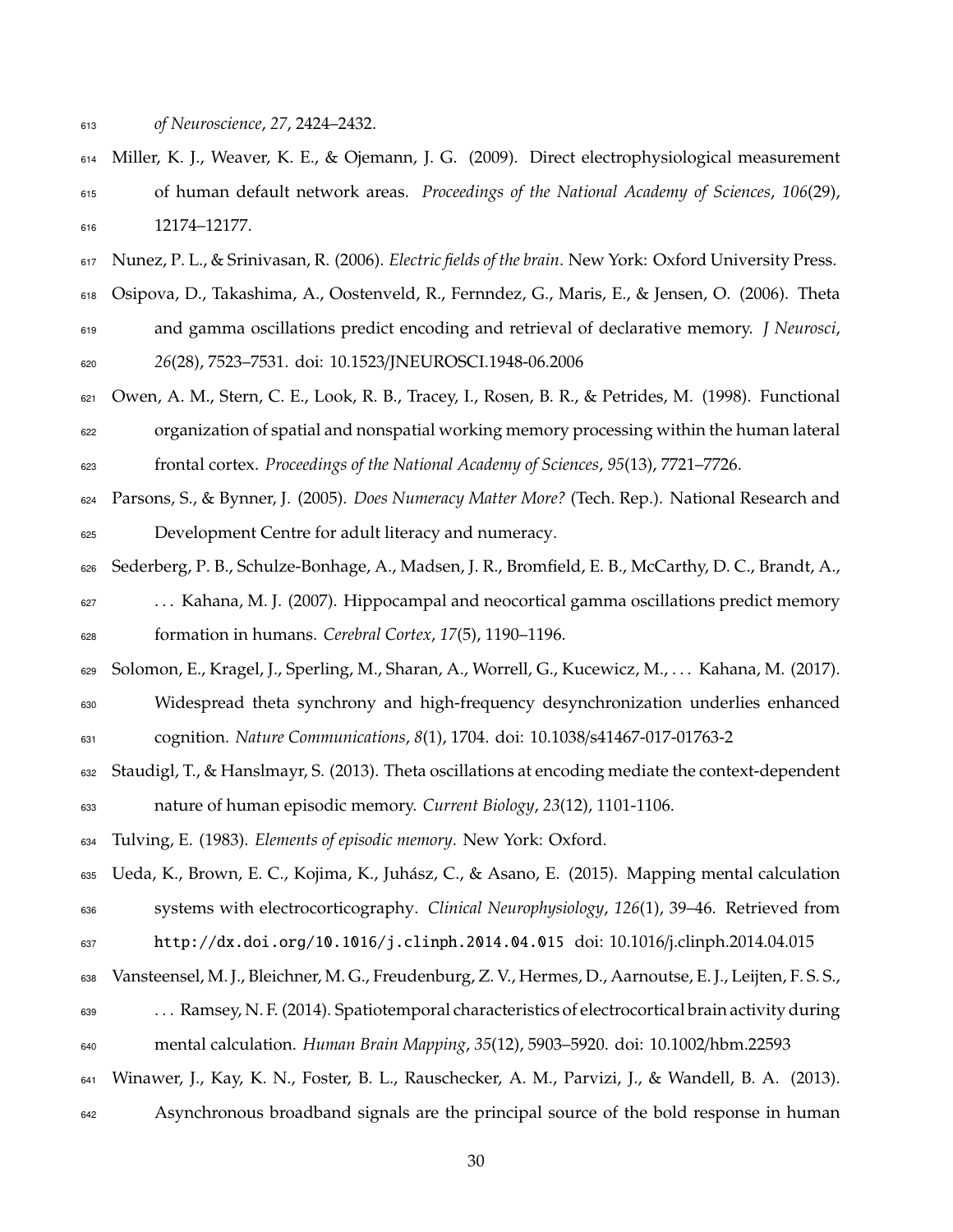*of Neuroscience*, *27*, 2424–2432.

- Miller, K. J., Weaver, K. E., & Ojemann, J. G. (2009). Direct electrophysiological measurement of human default network areas. *Proceedings of the National Academy of Sciences*, *106*(29), 616 12174–12177.
- Nunez, P. L., & Srinivasan, R. (2006). *Electric fields of the brain*. New York: Oxford University Press.
- Osipova, D., Takashima, A., Oostenveld, R., Fernndez, G., Maris, E., & Jensen, O. (2006). Theta and gamma oscillations predict encoding and retrieval of declarative memory. *J Neurosci*, *26*(28), 7523–7531. doi: 10.1523/JNEUROSCI.1948-06.2006

 Owen, A. M., Stern, C. E., Look, R. B., Tracey, I., Rosen, B. R., & Petrides, M. (1998). Functional organization of spatial and nonspatial working memory processing within the human lateral frontal cortex. *Proceedings of the National Academy of Sciences*, *95*(13), 7721–7726.

 Parsons, S., & Bynner, J. (2005). *Does Numeracy Matter More?* (Tech. Rep.). National Research and Development Centre for adult literacy and numeracy.

 Sederberg, P. B., Schulze-Bonhage, A., Madsen, J. R., Bromfield, E. B., McCarthy, D. C., Brandt, A., . . . Kahana, M. J. (2007). Hippocampal and neocortical gamma oscillations predict memory formation in humans. *Cerebral Cortex*, *17*(5), 1190–1196.

Solomon, E., Kragel, J., Sperling, M., Sharan, A., Worrell, G., Kucewicz, M., . . . Kahana, M. (2017).

 Widespread theta synchrony and high-frequency desynchronization underlies enhanced cognition. *Nature Communications*, *8*(1), 1704. doi: 10.1038/s41467-017-01763-2

 Staudigl, T., & Hanslmayr, S. (2013). Theta oscillations at encoding mediate the context-dependent nature of human episodic memory. *Current Biology*, *23*(12), 1101-1106.

Tulving, E. (1983). *Elements of episodic memory*. New York: Oxford.

 Ueda, K., Brown, E. C., Kojima, K., Juhasz, C., & Asano, E. (2015). Mapping mental calculation ´ systems with electrocorticography. *Clinical Neurophysiology*, *126*(1), 39–46. Retrieved from

- http://dx.doi.org/10.1016/j.clinph.2014.04.015 doi: 10.1016/j.clinph.2014.04.015
- Vansteensel, M. J., Bleichner, M. G., Freudenburg, Z. V., Hermes, D., Aarnoutse, E. J., Leijten, F. S. S.,

 . . . Ramsey, N. F. (2014). Spatiotemporal characteristics of electrocortical brain activity during mental calculation. *Human Brain Mapping*, *35*(12), 5903–5920. doi: 10.1002/hbm.22593

- Winawer, J., Kay, K. N., Foster, B. L., Rauschecker, A. M., Parvizi, J., & Wandell, B. A. (2013).
- Asynchronous broadband signals are the principal source of the bold response in human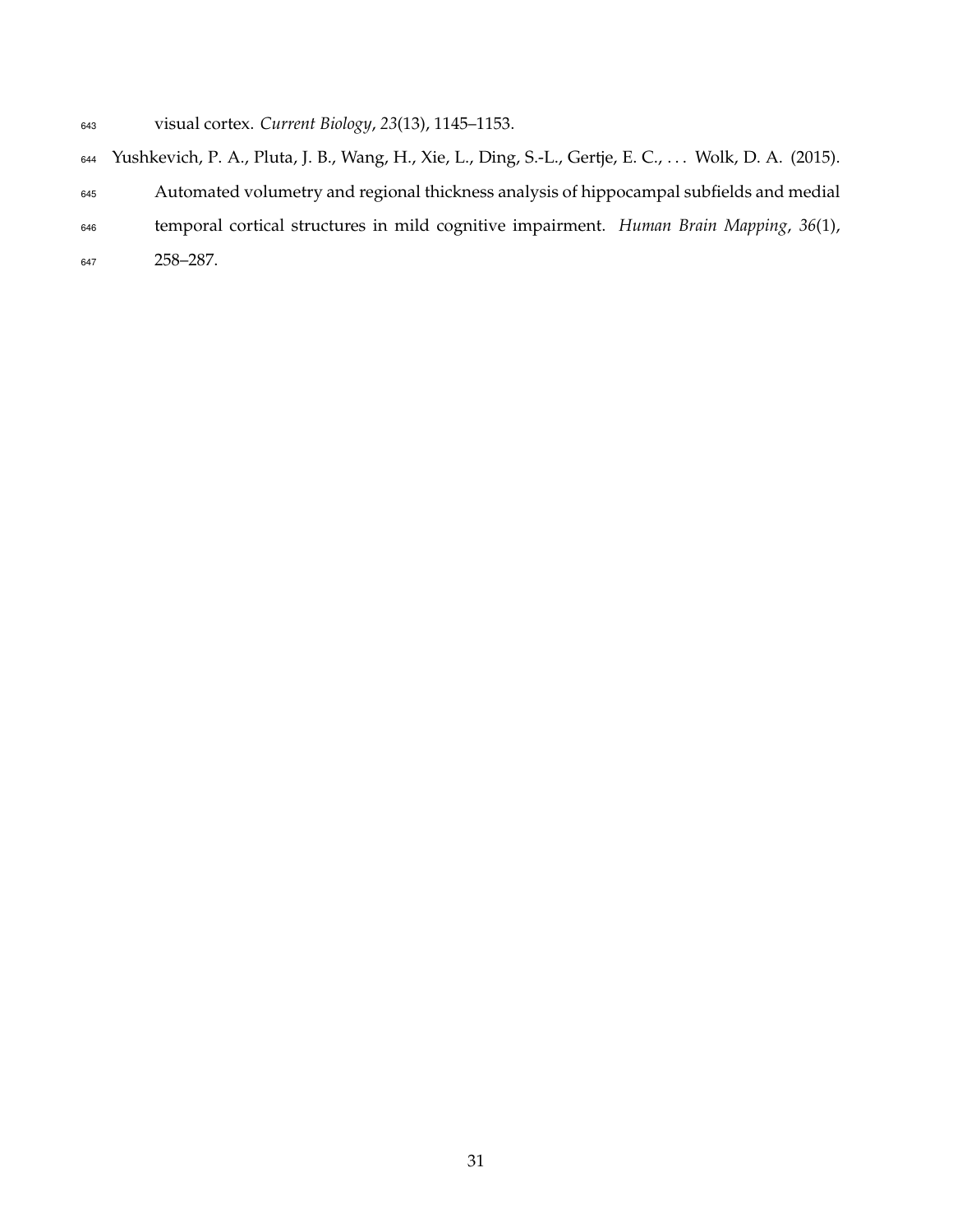- visual cortex. *Current Biology*, *23*(13), 1145–1153.
- Yushkevich, P. A., Pluta, J. B., Wang, H., Xie, L., Ding, S.-L., Gertje, E. C., . . . Wolk, D. A. (2015). Automated volumetry and regional thickness analysis of hippocampal subfields and medial temporal cortical structures in mild cognitive impairment. *Human Brain Mapping*, *36*(1), 258–287.